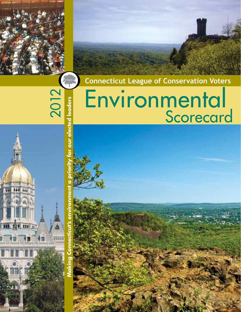**Connecticut League of Conservation Voters**

# Environmental <u>Scorecard</u>

2012

ECTLCV.

our elected leaders

**Making Connecticut's environment a priority for our elected leaders**

ronment

cut's env

Connect

ter ir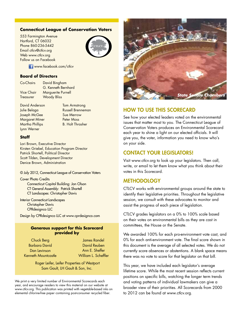#### **Connecticut League of Conservation Voters**

553 Farmington Avenue Hartford, CT 06032 Phone 860-236-5442 Email ctlcv@ctlcv.org Web www.ctlcv.org Follow us on Facebook



**Www.facebook.com/ctlcv** 

#### **Board of Directors**

Co-Chairs David Bingham G. Kenneth Bernhard Vice Chair Marguerite Purnell Treasurer Woody Bliss

David Anderson Tom Armstrong Joseph McGee Sue Merrow Margaret Miner Peter Moss Martha Phillips B. Holt Thrasher Lynn Werner

Julie Belaga Russell Brenneman

#### **Staff**

Lori Brown, Executive Director Kirsten Griebel, Education Program Director Patrick Shortell, Political Director Scott Tilden, Development Director Denice Brown, Administration

#### © July 2012, Connecticut League of Conservation Voters

Cover Photo Credits Connecticut Capitol Building: Jon Olson CT General Assembly: Patrick Shortell CT Landscapes: Christopher Davis

#### Interior Connecticut Landscapes Christopher Davis CPRdesignco LLC

Design by CPRdesignco LLC at www.cprdesignco.com

#### **Generous support for this Scorecard provided by**

Chuck Berg Barbara David Dan Levinson Kenneth Mountcastle

James Randel David Reuben Ann E. Sheffer William L. Scheffler

 Roger Leifer, Leifer Properties of Westport Sam Gault, LH Gault & Son, Inc.

We print a very limited number of Environmental Scorecards each year, and encourage readers to view this material on our website at www.ctlcv.org. This publication was printed with vegetable-based inks on elemental chlorine-free paper containing post-consumer recycled fiber.



### How To Use This Scorecard

See how your elected leaders voted on the environmental issues that matter most to you. The Connecticut League of Conservation Voters produces an Environmental Scorecard each year to shine a light on our elected officials. It will give you, the voter, information you need to know who's on your side.

#### Contact your legislators!

Visit www.ctlcv.org to look up your legislators. Then call, write, or email to let them know what you think about their votes in this Scorecard.

#### **METHODOLOGY**

CTLCV works with environmental groups around the state to identify their legislative priorities. Throughout the legislative session, we consult with these advocates to monitor and assist the progress of each piece of legislation.

CTLCV grades legislators on a 0% to 100% scale based on their votes on environmental bills as they are cast in committees, the House or the Senate.

We awarded 100% for each pro-environment vote cast, and 0% for each anti-environment vote. The final score shown in this document is the average of all selected votes. We do not currently score absences or abstentions. A blank space means there was no vote to score for that legislator on that bill.

This year, we have included each legislator's average lifetime score. While the most recent session reflects current positions on specific bills, watching the longer term trends and voting patterns of individual lawmakers can give a broader view of their priorities. All Scorecards from 2000 to 2012 can be found at www.ctlcv.org.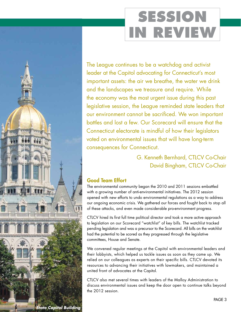# **SESSION IN REVIEW**

The League continues to be a watchdog and activist leader at the Capitol advocating for Connecticut's most important assets: the air we breathe, the water we drink and the landscapes we treasure and require. While the economy was the most urgent issue during this past legislative session, the League reminded state leaders that our environment cannot be sacrificed. We won important battles and lost a few. Our Scorecard will ensure that the Connecticut electorate is mindful of how their legislators voted on environmental issues that will have long-term consequences for Connecticut.

## G. Kenneth Bernhard, CTLCV Co-Chair David Bingham, CTLCV Co-Chair

## Good Team Effort

The environmental community began the 2010 and 2011 sessions embattled with a growing number of anti-environmental initiatives. The 2012 session opened with new efforts to undo environmental regulations as a way to address our ongoing economic crisis. We gathered our forces and fought back to stop all of these attacks, and even made considerable pro-environment progress.

CTLCV hired its first full time political director and took a more active approach to legislation on our Scorecard "watchlist" of key bills. The watchlist tracked pending legislation and was a precursor to the Scorecard. All bills on the watchlist had the potential to be scored as they progressed through the legislative committees, House and Senate.

We convened regular meetings at the Capitol with environmental leaders and their lobbyists, which helped us tackle issues as soon as they came up. We relied on our colleagues as experts on their specific bills. CTLCV devoted its resources to advancing their initiatives with lawmakers, and maintained a united front of advocates at the Capitol.

CTLCV also met several times with leaders of the Malloy Administration to discuss environmental issues and keep the door open to continue talks beyond the 2012 session.

*State Capitol Building*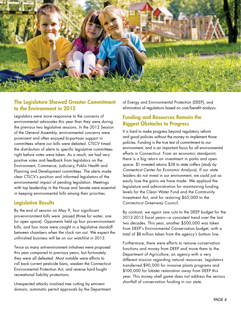

### The Legislature Showed Greater Commitment to the Environment in 2012

Legislators were more responsive to the concerns of environmental advocates this year than they were during the previous two legislative sessions. In the 2012 Session of the General Assembly, environmental concerns were prominent and often enjoyed bi-partisan support in committees where our bills were debated. CTLCV timed the distribution of alerts to specific legislative committees right before votes were taken. As a result, we had very positive votes and feedback from legislators on the Environment, Commerce, Judiciary, Public Health and Planning and Development committees. The alerts made clear CTLCV's position and informed legislators of the environmental impact of pending legislation. Meetings with top leadership in the House and Senate were essential in keeping environmental bills among their priorities.

## Legislative Results

By the end of session on May 9, four significant pro-environment bills were passed (three for water, one for open space). Opponents held up four pro-environment bills, and four more were caught in a legislative standoff between chambers when the clock ran out. We expect the unfinished business will be on our watchlist in 2013.

Twice as many anti-environment initiatives were proposed this year compared to previous years, but fortunately they were all defeated. Most notable were efforts to roll back current pesticide bans, weaken the Connecticut Environmental Protection Act, and reverse hard fought recreational liability protections.

Unexpected attacks involved tree cutting by eminent domain, automatic permit approvals by the Department of Energy and Environmental Protection (DEEP), and elimination of regulations based on cost/benefit analysis.

## Funding and Resources Remain the Biggest Obstacles to Progress

It is hard to make progress beyond regulatory reform and good policies without the money to implement those policies. Funding is the true test of commitment to our environment, and is an important focus for all environmental efforts in Connecticut. From an economic standpoint, there is a big return on investment in parks and open space: \$1 invested returns \$38 to state coffers (*study by Connecticut Center for Economic Analysis*). If our state leaders do not invest in our environment, we could just as easily lose the gains we have made. We applaud the legislature and administration for maintaining funding levels for the Clean Water Fund and the Community Investment Act, and for restoring \$65,000 to the Connecticut Greenway Council.

By contrast, we again saw cuts to the DEEP budget for the 2012-2013 fiscal years—a consistent trend over the last two decades. This year, another \$500,000 was taken from DEEP's Environmental Conservation budget, with a total of \$8 million taken from the agency's bottom line.

Furthermore, there were efforts to remove conservation functions and money from DEEP and move them to the Department of Agriculture, an agency with a very different mission regarding natural resources. Legislators transferred \$90,000 for invasive plants programs and \$100,000 for lobster restoration away from DEEP this year. This money shell game does not address the serious shortfall of conservation funding in our state.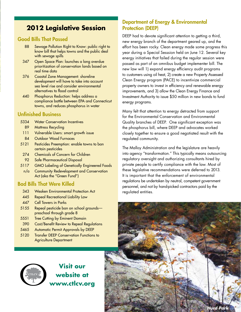## **2012 Legislative Session**

## Good Bills That Passed

- 88 Sewage Pollution Right to Know: public right to know bill that helps towns and the public deal with sewage spills
- 347 Open Space Plan: launches a long overdue prioritization of conservation lands based on real time data
- 376 Coastal Zone Management: shoreline development will have to take into account sea level rise and consider environmental alternatives to flood control
- 440 Phosphorus Reduction: helps address a compliance battle between EPA and Connecticut towns, and reduces phosphorus in water

## Unfinished Business

- 5334 Water Conservation Incentives
	- 89 Mattress Recycling
- 111 Vulnerable Users: smart growth issue
- 84 Outdoor Wood Furnaces
- 5121 Pesticides Preemption: enable towns to ban certain pesticides
- 274 Chemicals of Concern for Children
- 92 Safe Pharmaceutical Disposal
- 5117 GMO Labeling of Genetically Engineered Foods
	- n/a Community Redevelopment and Conservation Act (aka the "Green Fund")

## Bad Bills That Were Killed

- 343 Weaken Environmental Protection Act
- 445 Repeal Recreational Liability Law
- 447 Cell Towers in Parks
- 5155 Repeal pesticide ban on school grounds preschool through grade 8
- 5551 Tree Cutting by Eminent Domain
- 390 Cost/Benefit Review to Repeal Regulations
- 5465 Automatic Permit Approvals by DEEP
- 5120 Transfer DEEP Conservation Functions to Agriculture Department



**Visit our website at www.ctlcv.org**

## Department of Energy & Environmental Protection (DEEP)

DEEP had to devote significant attention to getting a third, new energy branch of the department geared up, and the effort has been rocky. Clean energy made some progress this year during a Special Sesssion held on June 12. Several key energy initiatives that failed during the regular session were passed as part of an omnibus budget implementer bill. The new law will 1) expand energy efficiency audit programs to customers using oil heat, 2) create a new Property Assessed Clean Energy program (PACE) to incentivize commercial property owners to invest in efficiency and renewable energy improvements, and 3) allow the Clean Energy Finance and Investment Authority to issue \$50 million in new bonds to fund energy programs.

Many felt that attention to energy detracted from support for the Environmental Conservation and Environmental Quality branches of DEEP. One significant exception was the phosphorus bill, where DEEP and advocates worked closely together to ensure a good negotiated result with the regulated community.

The Malloy Administration and the legislature are heavily into agency "transformation." This typically means outsourcing regulatory oversight and authorizing consultants hired by private people to certify compliance with the law. Most of these legislative recommendations were deferred to 2013. It is important that the enforcement of environmental regulations be undertaken by neutral, competent government personnel, and not by hand-picked contractors paid by the regulated entities.

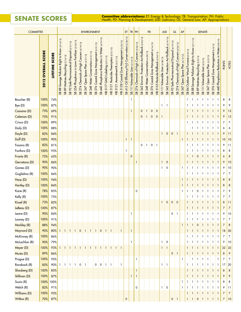## **SENATE Scores**

**Committee abbreviations:** ET: Energy & Technology; TR: Transportation; PH: Public Health; PD: Planning & Development; JUD: Judiciary; GL: General Law; AP: Appropriations

| <b>COMMITTEE</b>      |                    |                          |                                                |                                      |                                                      |                                                                 |                                                     |                                       | <b>ENVIRONMENT</b>                            |                                                  |                                                      |                                          |                                         |                                                          |                                           | ET                                                            | TR PH                            |                                                    |                                                        | PD                                    |                                                 |                                                                     | <b>JUD</b>                       |                                                      | <b>GL</b>                                       |                                                  | AP                                        |                                        |                                                   |                                      | <b>SENATE</b>                      |                                    |                                                                                                                 |                                                                          |                |                |
|-----------------------|--------------------|--------------------------|------------------------------------------------|--------------------------------------|------------------------------------------------------|-----------------------------------------------------------------|-----------------------------------------------------|---------------------------------------|-----------------------------------------------|--------------------------------------------------|------------------------------------------------------|------------------------------------------|-----------------------------------------|----------------------------------------------------------|-------------------------------------------|---------------------------------------------------------------|----------------------------------|----------------------------------------------------|--------------------------------------------------------|---------------------------------------|-------------------------------------------------|---------------------------------------------------------------------|----------------------------------|------------------------------------------------------|-------------------------------------------------|--------------------------------------------------|-------------------------------------------|----------------------------------------|---------------------------------------------------|--------------------------------------|------------------------------------|------------------------------------|-----------------------------------------------------------------------------------------------------------------|--------------------------------------------------------------------------|----------------|----------------|
|                       | 2012 OVERALL SCORE | <b>SCORE</b><br>LIFETIME | SB 88 Sewage Pollution Right to Know (3/14/12) | 89 Mattress Recycling (3/14/12)<br>æ | (3/21/12)<br>Safe Pharmaceutical Disposal<br>92<br>ஜ | Lawn Fertilizer (3/23/12)<br>$\equiv$<br>Phosphorus<br>254<br>æ | (4/19/12)<br>Concern<br>Chemicals of High<br>SB 274 | Open Space Plan (3/21/12)<br>347<br>æ | Conservation (3/21/12)<br><b>SB 348 Water</b> | Zone Management (3/21/12)<br>Coastal<br>376<br>æ | Water (4/19/12)<br>⊒.<br>SB 440 Phosphorus Reduction | 5117 GMO Labeling (3/21/12)<br>$\hat{E}$ | HB 5121 Pesticides Preemption (3/21/12) | Amendment B (3/21/12)<br>5121<br>$\overline{\mathbf{f}}$ | HB 5128 Coastal Zone Management (3/23/12) | SB 415 Oil Efficiency/H <sub>2</sub> O Conservation (3/28/12) | SB 111 Vulnerable User (3/14/12) | Concern (3/26/12)<br>Chemicals of High<br>274<br>æ | Environ. Protection Act Rollback (3/23/12)<br>343<br>æ | 348 Water Conservation (4/20/12)<br>æ | 6/12 <br>Coastal Zone Management (4/1<br>SB 376 | Rollback (2/24/12)<br>55 Pesticide<br>57<br>$\overline{\mathbf{f}}$ | SB 111 Vulnerable User (3/28/12) | Environ. Protection Act Rollback (4/19/12)<br>SB 343 | Safe Pharmaceutical Disposal (4/19/12)<br>SB 92 | Concern (4/26/12)<br>Chemicals of High<br>SB 274 | Space Plan (4/13/12)<br>Open<br>347<br>SB | Outdoor Wood Furnace (5/4/12)<br>SB 84 | Sewage Pollution Right to Know (4/11/12)<br>SB 88 | Recycling (5/2/12)<br>SB 89 Mattress | Vulnerable User (5/2/12)<br>SB 111 | Open Space Plan (5/2/12)<br>SB 347 | Coastal Zone Management (5/4/12)<br>SB 376                                                                      | Water (5/8/12)<br>⊇.<br>Reduction<br>Phosphorus<br>440<br>$\mathfrak{B}$ | <b>POINTS</b>  | VOTES          |
| Boucher (R)           | 100%               | 74%                      |                                                |                                      |                                                      |                                                                 |                                                     |                                       |                                               |                                                  |                                                      |                                          |                                         |                                                          |                                           |                                                               |                                  |                                                    |                                                        |                                       |                                                 |                                                                     |                                  |                                                      |                                                 |                                                  |                                           | 1                                      |                                                   |                                      | -1                                 | -1                                 | -1                                                                                                              | - 1                                                                      | 8              | 8              |
| Bye (D)               | 100%               | 87%                      |                                                |                                      |                                                      |                                                                 |                                                     |                                       |                                               |                                                  |                                                      |                                          |                                         |                                                          |                                           |                                                               |                                  |                                                    |                                                        |                                       |                                                 |                                                                     | 1                                | $\pm$ 1                                              |                                                 |                                                  |                                           |                                        |                                                   |                                      |                                    |                                    |                                                                                                                 |                                                                          | 9              | 9              |
| Cassano (D)           | 75%                | 69%                      |                                                |                                      |                                                      |                                                                 |                                                     |                                       |                                               |                                                  |                                                      |                                          |                                         |                                                          |                                           |                                                               | 1                                |                                                    | 0                                                      | $\overline{1}$                        | $\mathsf{O}\xspace$                             | $\frac{1}{2}$ 0                                                     |                                  |                                                      |                                                 |                                                  |                                           |                                        |                                                   |                                      |                                    |                                    |                                                                                                                 |                                                                          | 9              | 12             |
| Coleman (D)           | 75%                | 91%                      |                                                |                                      |                                                      |                                                                 |                                                     |                                       |                                               |                                                  |                                                      |                                          |                                         |                                                          |                                           |                                                               |                                  |                                                    | 0                                                      | ΕT                                    | $\pmb{0}$                                       | $\mathbf 0$                                                         |                                  |                                                      |                                                 |                                                  |                                           |                                        |                                                   |                                      |                                    |                                    | -1                                                                                                              |                                                                          | 9              | 12             |
| Crisco (D)            | 100%               | 89%                      |                                                |                                      |                                                      |                                                                 |                                                     |                                       |                                               |                                                  |                                                      |                                          |                                         |                                                          |                                           |                                                               |                                  |                                                    |                                                        |                                       |                                                 |                                                                     |                                  |                                                      |                                                 |                                                  |                                           | 1                                      |                                                   |                                      |                                    |                                    | $\mathbf{1}$                                                                                                    | -1                                                                       | 7              | 7              |
| Daily (D)             | 100%               | 88%                      |                                                |                                      |                                                      |                                                                 |                                                     |                                       |                                               |                                                  |                                                      |                                          |                                         |                                                          |                                           |                                                               |                                  |                                                    |                                                        |                                       |                                                 |                                                                     |                                  |                                                      |                                                 |                                                  |                                           |                                        |                                                   |                                      | -1                                 | -1                                 | $\pm 1$                                                                                                         | ÷ 1.                                                                     | 6              | 6              |
| Doyle (D)             | 82%                | 84%                      |                                                |                                      |                                                      |                                                                 |                                                     |                                       |                                               |                                                  |                                                      |                                          |                                         |                                                          |                                           |                                                               |                                  |                                                    |                                                        |                                       |                                                 |                                                                     | 1                                | $\mathbf 0$                                          | $\mathsf{O}\xspace$                             | ÷ 1                                              |                                           | 1                                      |                                                   |                                      |                                    |                                    |                                                                                                                 |                                                                          | 9              | 11             |
| Duff (D)              | 100%               | 90%                      |                                                |                                      |                                                      |                                                                 |                                                     |                                       |                                               |                                                  |                                                      |                                          |                                         |                                                          |                                           | 1                                                             | $\mathbf{1}$                     |                                                    |                                                        |                                       |                                                 |                                                                     |                                  |                                                      |                                                 |                                                  | -1                                        |                                        |                                                   |                                      |                                    |                                    | -1                                                                                                              |                                                                          | 10             | $ 10\rangle$   |
| Fasano (R)            | 82%                | 81%                      |                                                |                                      |                                                      |                                                                 |                                                     |                                       |                                               |                                                  |                                                      |                                          |                                         |                                                          |                                           |                                                               |                                  |                                                    | 0                                                      | i 1                                   | 0                                               | ÷ 1                                                                 |                                  |                                                      |                                                 |                                                  |                                           | -1                                     |                                                   | -1                                   | -1                                 | -1                                 | -1                                                                                                              |                                                                          | 9              | 11             |
| Fonfara (D)           | 100%               | 93%                      |                                                |                                      |                                                      |                                                                 |                                                     |                                       |                                               |                                                  |                                                      |                                          |                                         |                                                          |                                           | 1                                                             |                                  |                                                    |                                                        |                                       |                                                 |                                                                     |                                  |                                                      |                                                 |                                                  |                                           |                                        |                                                   |                                      |                                    |                                    | -1                                                                                                              |                                                                          | 8              | 8              |
| Frantz (R)            | 75%                | 65%                      |                                                |                                      |                                                      |                                                                 |                                                     |                                       |                                               |                                                  |                                                      |                                          |                                         |                                                          |                                           |                                                               | $\mathbf 0$                      |                                                    |                                                        |                                       |                                                 |                                                                     |                                  |                                                      |                                                 |                                                  |                                           |                                        |                                                   | $\mathbf 0$                          |                                    |                                    | -1                                                                                                              | $\pm$ 1                                                                  | 6              | 8              |
| Gerratana (D)         | 90%                | 84%                      |                                                |                                      |                                                      |                                                                 |                                                     |                                       |                                               |                                                  |                                                      |                                          |                                         |                                                          |                                           |                                                               |                                  | $\mathbf{1}$                                       |                                                        |                                       |                                                 |                                                                     | 1                                | $\mathbf 0$                                          |                                                 |                                                  |                                           |                                        |                                                   |                                      |                                    |                                    |                                                                                                                 |                                                                          | 9              | 10             |
| Gomes (D)             | 90%                | 90%                      |                                                |                                      |                                                      |                                                                 |                                                     |                                       |                                               |                                                  |                                                      |                                          |                                         |                                                          |                                           |                                                               |                                  |                                                    |                                                        |                                       |                                                 |                                                                     | 1                                | $\mathbf 0$                                          |                                                 |                                                  | -1                                        | 1                                      | -1                                                |                                      |                                    | -1                                 | $\pm$ 1                                                                                                         | ÷ 1.                                                                     | 9              | 10             |
| Guglielmo (R)         | 100%               | 84%                      |                                                |                                      |                                                      |                                                                 |                                                     |                                       |                                               |                                                  |                                                      |                                          |                                         |                                                          |                                           |                                                               |                                  |                                                    |                                                        |                                       |                                                 |                                                                     |                                  |                                                      |                                                 |                                                  |                                           | 1                                      |                                                   |                                      | -1                                 | -1                                 | -1                                                                                                              | ÷ 1                                                                      | 7              | 7              |
| Harp (D)              | 100%               | 94%                      |                                                |                                      |                                                      |                                                                 |                                                     |                                       |                                               |                                                  |                                                      |                                          |                                         |                                                          |                                           |                                                               |                                  |                                                    |                                                        |                                       |                                                 |                                                                     |                                  |                                                      |                                                 |                                                  | -1                                        |                                        |                                                   |                                      |                                    |                                    |                                                                                                                 |                                                                          | 8              | 8              |
| Hartley (D)           | 100%               | 84%                      |                                                |                                      |                                                      |                                                                 |                                                     |                                       |                                               |                                                  |                                                      |                                          |                                         |                                                          |                                           |                                                               |                                  | $\Omega$                                           |                                                        |                                       |                                                 |                                                                     |                                  |                                                      |                                                 |                                                  |                                           |                                        |                                                   |                                      | -1                                 | : 1                                | -1                                                                                                              |                                                                          | 8              | 8              |
| Kane (R)<br>Kelly (R) | 78%                | 85%<br>75%               |                                                |                                      |                                                      |                                                                 |                                                     |                                       |                                               |                                                  |                                                      |                                          |                                         |                                                          |                                           |                                                               |                                  |                                                    |                                                        |                                       |                                                 |                                                                     |                                  |                                                      |                                                 |                                                  | -1                                        | 1                                      |                                                   | 0                                    | ÷ 1.                               | -1                                 | -1<br>$\pm 1$                                                                                                   |                                                                          | 7<br>7         | 9<br>7         |
| Kissel (R)            | 100%<br>73%        | 82%                      |                                                |                                      |                                                      |                                                                 |                                                     |                                       |                                               |                                                  |                                                      |                                          |                                         |                                                          |                                           |                                                               |                                  |                                                    |                                                        |                                       |                                                 |                                                                     | $\mathbf{1}$                     | $\mathbf 0$                                          | $\mathsf{O}\xspace$                             | $\frac{1}{2}$ 0                                  |                                           | $\mathbf{1}$                           | $\pm 1$                                           | -1<br>$\pm 1$                        | ± 1.                               | 1 I                                |                                                                                                                 |                                                                          | 8              | 11             |
| LeBeau (D)            | 100%               | 87%                      |                                                |                                      |                                                      |                                                                 |                                                     |                                       |                                               |                                                  |                                                      |                                          |                                         |                                                          |                                           |                                                               |                                  |                                                    |                                                        |                                       |                                                 |                                                                     |                                  |                                                      |                                                 |                                                  |                                           | $\mathbf{1}$                           | $\pm 1$                                           | $\pm 1$                              | $\pm 1$                            | $\pm 1$                            | $+1+1$                                                                                                          |                                                                          | 7              | 7              |
| Leone (D)             | 90%                | 84%                      |                                                |                                      |                                                      |                                                                 |                                                     |                                       |                                               |                                                  |                                                      |                                          |                                         |                                                          |                                           |                                                               | $\mathbf{1}$                     |                                                    |                                                        |                                       |                                                 |                                                                     |                                  |                                                      | 0                                               | $\pm$ 1                                          |                                           | 1                                      | $\pm 1$                                           | $\pm$ 1                              | ÷ 1.                               | ÷ 1                                | ÷ 1.                                                                                                            | -91                                                                      | 9              | 10             |
| Looney (D)            | 100%               | 91%                      |                                                |                                      |                                                      |                                                                 |                                                     |                                       |                                               |                                                  |                                                      |                                          |                                         |                                                          |                                           |                                                               |                                  |                                                    |                                                        |                                       |                                                 |                                                                     |                                  |                                                      |                                                 |                                                  |                                           |                                        | 1:1:1                                             |                                      | ÷ 1.                               | $\pm$ 1                            | 3 I 3 I                                                                                                         |                                                                          | 7              | 7              |
| Markley (R)           | 88%                | 94%                      |                                                |                                      |                                                      |                                                                 |                                                     |                                       |                                               |                                                  |                                                      |                                          |                                         |                                                          |                                           |                                                               |                                  |                                                    |                                                        |                                       |                                                 |                                                                     |                                  |                                                      |                                                 |                                                  | $\mathbf{1}$                              | $\mathbf{1}$                           | $\pm 1$                                           | $\vdots$ 0                           | $\pm 1$                            | $\pm 1$                            | 414 L                                                                                                           |                                                                          | $\overline{7}$ | 8              |
| Maynard (D)           | 90%                | 80%                      | -1                                             | $\pm 1$                              | $\pm 1$                                              | ÷<br>$\mathbf{1}$                                               | $\mathbf 0$                                         | $\pm 1$                               | $\pm$ 1                                       | 1:                                               | $\mathbf 0$                                          | i 1                                      | -1                                      |                                                          | i 1                                       |                                                               | $\mathbf{1}$                     |                                                    |                                                        |                                       |                                                 |                                                                     |                                  |                                                      |                                                 |                                                  |                                           | $\mathbf{1}$                           | $\pm 1$                                           | $\pm$ 1                              | $\pm$ 1                            | $\pm 1$                            | $+1+1$                                                                                                          |                                                                          | 18             | $ 20\rangle$   |
| McKinney (R)          | 100%               | 86%                      |                                                |                                      |                                                      |                                                                 |                                                     |                                       |                                               |                                                  |                                                      |                                          |                                         |                                                          |                                           |                                                               |                                  |                                                    |                                                        |                                       |                                                 |                                                                     |                                  |                                                      |                                                 |                                                  |                                           | $\mathbf{1}$                           | 3 I 3 I                                           |                                      | $\pm 1$                            | $\pm$ 1                            | 3 I 3 I                                                                                                         |                                                                          | 7              | 7              |
| McLachlan (R)         | 90%                | 79%                      |                                                |                                      |                                                      |                                                                 |                                                     |                                       |                                               |                                                  |                                                      |                                          |                                         |                                                          |                                           |                                                               | $\mathbf{1}$                     |                                                    |                                                        |                                       |                                                 |                                                                     | $\mathbf{1}$                     | $\mathbf 0$                                          |                                                 |                                                  |                                           | 1                                      | $\mathbf{1}$                                      | $\pm 1$                              | $\pm$ 1.                           | $\pm$ 1                            | 3 I 3 I                                                                                                         |                                                                          | 9              | 10             |
| Meyer (D)             | 100%               | 93%                      |                                                |                                      |                                                      |                                                                 |                                                     |                                       |                                               |                                                  |                                                      | Ŧ                                        |                                         |                                                          |                                           |                                                               |                                  |                                                    |                                                        |                                       |                                                 |                                                                     | $\mathbf{1}$                     | $\pm$ 1                                              |                                                 |                                                  |                                           | $\mathbf{1}$                           | $+1+1$                                            |                                      | $\pm 1$                            | $\pm 1$                            | 414 L                                                                                                           |                                                                          | 22             | 22             |
| Musto (D)             | 89%                | 86%                      |                                                |                                      |                                                      |                                                                 |                                                     |                                       |                                               |                                                  |                                                      |                                          |                                         |                                                          |                                           |                                                               |                                  |                                                    |                                                        |                                       |                                                 |                                                                     |                                  |                                                      | 0:1                                             |                                                  |                                           | $\mathbf{1}$                           | 44 H H                                            |                                      | $\pm 1$                            |                                    | $\frac{1}{2}$ 1 $\frac{1}{2}$ 1 $\frac{1}{2}$ 1                                                                 |                                                                          | 8              | $\overline{9}$ |
| Prague (D)            | 100%               | 95%                      |                                                |                                      |                                                      |                                                                 |                                                     |                                       |                                               |                                                  |                                                      |                                          |                                         |                                                          |                                           |                                                               |                                  | $\mathbf{1}$                                       |                                                        |                                       |                                                 |                                                                     |                                  |                                                      |                                                 |                                                  |                                           |                                        | $\mathbf{1}$                                      | $\mathbf{1}$                         | ÷ 1.                               | -1                                 |                                                                                                                 | $\mathbf{1}$                                                             | 7              | 7              |
| Roraback (R)          | 85%                | 90%                      |                                                | $\pm$ 1                              | $\pm$ 1                                              |                                                                 | 0                                                   | ΞI                                    |                                               | 0                                                | 0                                                    | E 1.                                     | -1                                      |                                                          | $\overline{1}$                            |                                                               |                                  |                                                    |                                                        |                                       |                                                 |                                                                     | 1                                | $\pm$ 1                                              |                                                 |                                                  |                                           | $\mathbf{1}$                           | 4141                                              |                                      | $\pm 1$                            | $\pm 1$                            | $-1111$                                                                                                         |                                                                          | 17             | $ 20\rangle$   |
| Slossberg (D)         | 100%               | 85%                      |                                                |                                      |                                                      |                                                                 |                                                     |                                       |                                               |                                                  |                                                      |                                          |                                         |                                                          |                                           |                                                               |                                  | $\overline{1}$                                     |                                                        |                                       |                                                 |                                                                     |                                  |                                                      |                                                 |                                                  |                                           | -1                                     | $\mathbf{1}$                                      | $\pm 1$                              | $\pm 1$                            | $\pm 1$                            | $\pm 1 \pm 1$                                                                                                   |                                                                          | 8              | 8              |
| Stillman (D)          | 100%               | 87%                      |                                                |                                      |                                                      |                                                                 |                                                     |                                       |                                               |                                                  |                                                      |                                          |                                         |                                                          |                                           |                                                               | $\mathbf{1}$                     | $\mathbf{1}$                                       |                                                        |                                       |                                                 |                                                                     |                                  |                                                      |                                                 |                                                  |                                           |                                        |                                                   |                                      |                                    |                                    | 1818181818181                                                                                                   |                                                                          | 9              | 9              |
| Suzio (R)             | 100% 100%          |                          |                                                |                                      |                                                      |                                                                 |                                                     |                                       |                                               |                                                  |                                                      |                                          |                                         |                                                          |                                           |                                                               |                                  |                                                    |                                                        |                                       |                                                 |                                                                     |                                  |                                                      |                                                 |                                                  |                                           | -1                                     | 3 I 3 I                                           |                                      | $\pm 1 \pm 1$                      |                                    | 3 I 3 I                                                                                                         |                                                                          | 8              | 8              |
| Welch (R)             | 82%                | 91%                      |                                                |                                      |                                                      |                                                                 |                                                     |                                       |                                               |                                                  |                                                      |                                          |                                         |                                                          |                                           |                                                               |                                  | $\mathbf 0$                                        |                                                        |                                       |                                                 |                                                                     | $1\pm$                           | $\mathsf{O}$                                         |                                                 |                                                  |                                           | -1                                     | ÷ 1.                                              | $\pm 1$                              | $\pm 1$                            | ÷ 1.                               | 3 I 3 I                                                                                                         |                                                                          | 9              | 11             |
| Williams (D)          | 100%               | 93%                      |                                                |                                      |                                                      |                                                                 |                                                     |                                       |                                               |                                                  |                                                      |                                          |                                         |                                                          |                                           |                                                               |                                  |                                                    |                                                        |                                       |                                                 |                                                                     |                                  |                                                      |                                                 |                                                  |                                           | $\mathbf{1}$                           |                                                   |                                      |                                    |                                    | $\frac{1}{2}$ 1 $\frac{1}{2}$ 1 $\frac{1}{2}$ 1 $\frac{1}{2}$ 1 $\frac{1}{2}$ 1 $\frac{1}{2}$ 1 $\frac{1}{2}$ 1 |                                                                          | $\overline{7}$ | $\overline{7}$ |
| Witkos (R)            | 70%                | 87%                      |                                                |                                      |                                                      |                                                                 |                                                     |                                       |                                               |                                                  |                                                      |                                          |                                         |                                                          |                                           | $\pmb{0}$                                                     |                                  |                                                    |                                                        |                                       |                                                 |                                                                     |                                  |                                                      | $0 \nmid 1$                                     |                                                  |                                           | $\mathbf{1}$                           | $\frac{1}{2}$ 1 $\frac{1}{2}$ 0                   |                                      |                                    |                                    | $\{1\}$ $\{1\}$ $\{1\}$ $\{1\}$                                                                                 |                                                                          | $\overline{7}$ | 10             |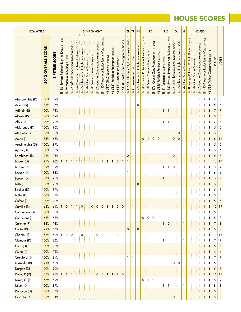## **HOUSE Scores**

| <b>COMMITTEE</b> |                    |                |                                                     |                                                      |                                                         |                                                   |                                                  | <b>ENVIRONMENT</b>                     |                                           |                                                  |                                                |                                   |                                         |                               |                                                           | ET                                                              | $TR$ PH                          |                                              |                                                      |                                       | PD                                               |                                         |                                  | <b>JUD</b>                                            | GL                                              |                                              | AP                                    |                                                              |                                    | <b>HOUSE</b>                                               |                                                  |                                     |               |                  |
|------------------|--------------------|----------------|-----------------------------------------------------|------------------------------------------------------|---------------------------------------------------------|---------------------------------------------------|--------------------------------------------------|----------------------------------------|-------------------------------------------|--------------------------------------------------|------------------------------------------------|-----------------------------------|-----------------------------------------|-------------------------------|-----------------------------------------------------------|-----------------------------------------------------------------|----------------------------------|----------------------------------------------|------------------------------------------------------|---------------------------------------|--------------------------------------------------|-----------------------------------------|----------------------------------|-------------------------------------------------------|-------------------------------------------------|----------------------------------------------|---------------------------------------|--------------------------------------------------------------|------------------------------------|------------------------------------------------------------|--------------------------------------------------|-------------------------------------|---------------|------------------|
|                  | 2012 OVERALL SCORE | LIFETIME SCORE | Sewage Pollution Right to Know (3/14/12)<br>88<br>æ | Recycling (3/14/12)<br>Mattress<br>$8^{\circ}$<br>SB | (3/21/12)<br>Disposal<br>Safe Pharmaceutical<br>92<br>ஜ | 254 Phosphorus in Lawn Fertilizer (3/23/12)<br>SB | Chemicals of High Concern (4/19/12)<br>274<br>SB | Open Space Plan (3/21/12)<br>347<br>SB | Conservation (3/21/12)<br>348 Water<br>SB | Zone Management (3/21/12)<br>Coastal<br>376<br>æ | SB 440 Phosphorus Reduction In Water (4/19/12) | GMO Labeling (3/21/12)<br>HB 5117 | HB 5121 Pesticides Preemption (3/21/12) | HB 5121 Amendment B (3/21/12) | (3/23/12)<br>Zone Management<br>Coastal<br><b>HB 5128</b> | 415 Oil Efficiency/H <sub>2</sub> 0 Conservation (3/28/12)<br>æ | SB 111 Vulnerable User (3/14/12) | 274 Chemicals of High Concern (3/26/12)<br>ஜ | 343 Environ. Protection Act Rollback (3/23/12)<br>SB | 348 Water Conservation (4/20/12)<br>ස | Zone Management (4/16/12)<br>Coastal<br>376<br>æ | (2/24/12)<br>HB 5155 Pesticide Rollback | SB 111 Vulnerable User (3/28/12) | 343 Environ. Protection Act Rollback (4/19/12)<br>ි ස | Safe Pharmaceutical Disposal (4/19/12)<br>SB 92 | 274 Chemicals of High Concern (4/26/12)<br>æ | Open Space Plan (4/13/12)<br>347<br>æ | Know (4/19/12)<br>Sewage Pollution Right to<br>$\infty$<br>æ | 347 Open Space Plan (5/9/12)<br>SB | Coastal Zone Management (5/8/12)<br>376 <sub>0</sub><br>58 | 440 Phosphorus Reduction in Water (5/9/12)<br>SB | HB 5334 Water Conservation (5/8/12) | <b>POINTS</b> | VOTES            |
| Abercrombie (D)  | 100%               | 89%            |                                                     |                                                      |                                                         |                                                   |                                                  |                                        |                                           |                                                  |                                                |                                   |                                         |                               |                                                           |                                                                 |                                  | 1                                            |                                                      |                                       |                                                  |                                         |                                  |                                                       |                                                 |                                              | 1                                     |                                                              |                                    | -1                                                         | 1                                                | 1                                   | 7             | 7                |
| Ackert (R)       | 83%                | 77%            |                                                     |                                                      |                                                         |                                                   |                                                  |                                        |                                           |                                                  |                                                |                                   |                                         |                               |                                                           |                                                                 |                                  | 0                                            |                                                      |                                       |                                                  |                                         |                                  |                                                       |                                                 |                                              |                                       | 1                                                            |                                    |                                                            |                                                  |                                     | 5             | 6                |
| Adinolfi (R)     | 100%               | 73%            |                                                     |                                                      |                                                         |                                                   |                                                  |                                        |                                           |                                                  |                                                |                                   |                                         |                               |                                                           |                                                                 |                                  |                                              |                                                      |                                       |                                                  |                                         | 1                                | -1                                                    |                                                 |                                              |                                       |                                                              |                                    |                                                            |                                                  |                                     | 7             | $\overline{7}$   |
| Alberts (R)      | 100%               | 69%            |                                                     |                                                      |                                                         |                                                   |                                                  |                                        |                                           |                                                  |                                                |                                   |                                         |                               |                                                           |                                                                 |                                  |                                              |                                                      |                                       |                                                  |                                         |                                  |                                                       |                                                 |                                              |                                       | 1                                                            |                                    |                                                            |                                                  |                                     | 5             | $\sqrt{5}$       |
| Albis (D)        | 100%               | 92%            |                                                     |                                                      |                                                         |                                                   |                                                  |                                        |                                           |                                                  |                                                |                                   |                                         |                               |                                                           |                                                                 |                                  |                                              |                                                      |                                       |                                                  |                                         | 1                                | -1                                                    |                                                 |                                              |                                       | 1                                                            |                                    |                                                            |                                                  |                                     | 7             | 7                |
| Aldarondo (D)    | 100%               | 90%            |                                                     |                                                      |                                                         |                                                   |                                                  |                                        |                                           |                                                  |                                                |                                   |                                         |                               |                                                           |                                                                 |                                  |                                              |                                                      |                                       |                                                  |                                         |                                  |                                                       |                                                 |                                              |                                       |                                                              |                                    |                                                            | 1                                                | 1                                   | 5             | 5                |
| Altobello (D)    | 86%                | 85%            |                                                     |                                                      |                                                         |                                                   |                                                  |                                        |                                           |                                                  |                                                |                                   |                                         |                               |                                                           |                                                                 |                                  |                                              |                                                      |                                       |                                                  |                                         |                                  |                                                       | $\mathbf{1}$                                    | $\mathbf 0$                                  |                                       |                                                              |                                    |                                                            |                                                  |                                     | 6             | $\overline{7}$   |
| Aman (R)         | 55%                | 68%            |                                                     |                                                      |                                                         |                                                   |                                                  |                                        |                                           |                                                  |                                                |                                   |                                         |                               |                                                           |                                                                 |                                  |                                              | 0                                                    | $\pm 1$                               | $\mathbf 0$                                      | $\mathbf 0$                             |                                  |                                                       | 0                                               | $\mathbf 0$                                  |                                       |                                                              |                                    |                                                            |                                                  |                                     | 6             | 11               |
| Aresimowicz (D)  | 100%               | 87%            |                                                     |                                                      |                                                         |                                                   |                                                  |                                        |                                           |                                                  |                                                |                                   |                                         |                               |                                                           |                                                                 |                                  |                                              |                                                      |                                       |                                                  |                                         |                                  |                                                       |                                                 |                                              |                                       | 1                                                            |                                    | -1                                                         | -1                                               |                                     | 5             | $\sqrt{5}$       |
| Ayala (D)        | 100%               | 87%            |                                                     |                                                      |                                                         |                                                   |                                                  |                                        |                                           |                                                  |                                                |                                   |                                         |                               |                                                           |                                                                 |                                  | 1                                            |                                                      |                                       |                                                  |                                         |                                  |                                                       |                                                 |                                              |                                       | 1                                                            |                                    | -1                                                         | 1                                                | 1                                   | 6             | 6                |
| Bacchiochi (R)   | 71%                | 75%            |                                                     |                                                      |                                                         |                                                   |                                                  |                                        |                                           |                                                  |                                                |                                   |                                         |                               |                                                           | $\mathbf 0$                                                     |                                  |                                              |                                                      |                                       |                                                  |                                         |                                  |                                                       | 0                                               |                                              |                                       |                                                              |                                    |                                                            |                                                  | 1                                   | 5             | $\overline{7}$   |
| Backer (D)       | 94%                | 90%            |                                                     |                                                      |                                                         |                                                   |                                                  |                                        |                                           |                                                  |                                                |                                   |                                         | 0                             | -1                                                        | 1                                                               |                                  |                                              |                                                      |                                       |                                                  |                                         |                                  |                                                       |                                                 |                                              |                                       |                                                              |                                    |                                                            |                                                  |                                     | 16            | 17               |
| Baram (D)        | 89%                | 89%            |                                                     |                                                      |                                                         |                                                   |                                                  |                                        |                                           |                                                  |                                                |                                   |                                         |                               |                                                           |                                                                 |                                  |                                              |                                                      |                                       |                                                  |                                         | $\mathbf{1}$                     | ÷<br>$\overline{1}$                                   | 0                                               | ÷τ                                           |                                       | 1                                                            |                                    | $\mathbf{1}$                                               | 1                                                | -1                                  | 8             | 9                |
| Becker (D)       | 100%               | 88%            |                                                     |                                                      |                                                         |                                                   |                                                  |                                        |                                           |                                                  |                                                |                                   |                                         |                               |                                                           | 1                                                               |                                  |                                              |                                                      |                                       |                                                  |                                         |                                  |                                                       |                                                 |                                              |                                       |                                                              |                                    |                                                            | 1                                                | 1                                   | 6             | 6                |
| Berger (D)       | 86%                | 78%            |                                                     |                                                      |                                                         |                                                   |                                                  |                                        |                                           |                                                  |                                                |                                   |                                         |                               |                                                           |                                                                 |                                  |                                              |                                                      |                                       |                                                  |                                         | $\mathbf{1}$                     | $\mathbf 0$                                           |                                                 |                                              |                                       | 1                                                            |                                    |                                                            |                                                  | 1                                   | 6             | $\boldsymbol{7}$ |
| Betts (R)        | 86%                | 73%            |                                                     |                                                      |                                                         |                                                   |                                                  |                                        |                                           |                                                  |                                                |                                   |                                         |                               |                                                           |                                                                 |                                  | $\mathbf 0$                                  |                                                      |                                       |                                                  |                                         |                                  |                                                       |                                                 |                                              | 1                                     |                                                              |                                    |                                                            |                                                  |                                     | 6             | $\overline{7}$   |
| Boukus (D)       | 100%               | 89%            |                                                     |                                                      |                                                         |                                                   |                                                  |                                        |                                           |                                                  |                                                |                                   |                                         |                               |                                                           |                                                                 |                                  |                                              |                                                      |                                       |                                                  |                                         |                                  |                                                       |                                                 |                                              |                                       | 1                                                            |                                    |                                                            | 1                                                |                                     | 5             | 5                |
| Butler (D)       | 100%               | 84%            |                                                     |                                                      |                                                         |                                                   |                                                  |                                        |                                           |                                                  |                                                |                                   |                                         |                               |                                                           |                                                                 |                                  |                                              |                                                      |                                       |                                                  |                                         |                                  |                                                       |                                                 |                                              |                                       | 1                                                            |                                    | -1                                                         | 1                                                | 1                                   | 5             | 5                |
| Cafero (R)       | 100%               | 70%            |                                                     |                                                      |                                                         |                                                   |                                                  |                                        |                                           |                                                  |                                                |                                   |                                         |                               |                                                           |                                                                 |                                  |                                              |                                                      |                                       |                                                  |                                         |                                  |                                                       |                                                 |                                              |                                       |                                                              | $1 \nmid 1 \nmid 1 \nmid 1$        |                                                            |                                                  | Ŧ.<br>$\mathbf{1}$                  | 5             | $\overline{5}$   |
| Camillo (R)      | 63%                | 61%            | 1                                                   | 0:1                                                  |                                                         | $\pm 1 \pm 0 \pm 1 \pm 0 \pm 0 \pm 0$             |                                                  |                                        |                                           |                                                  |                                                | $\pm 1$                           | $\pm 1$                                 | $\mathsf{O}\xspace$           | $\frac{1}{2}$ 0                                           |                                                                 | $\mathbf{1}$                     |                                              |                                                      |                                       |                                                  |                                         |                                  |                                                       |                                                 |                                              |                                       | 1                                                            | $\pm 1$                            | $\pm 1$                                                    | $\pm$ 1                                          | $\pm$ 1                             |               | 12 19            |
| Candelaria (D)   | 100%               | 90%            |                                                     |                                                      |                                                         |                                                   |                                                  |                                        |                                           |                                                  |                                                |                                   |                                         |                               |                                                           |                                                                 |                                  |                                              |                                                      |                                       |                                                  |                                         |                                  |                                                       |                                                 |                                              |                                       | 1                                                            | 1                                  | -1                                                         | $\mathbf{1}$                                     | -1                                  | 5             | 5                |
| Candelora (R)    | 63%                | 58%            |                                                     |                                                      |                                                         |                                                   |                                                  |                                        |                                           |                                                  |                                                |                                   |                                         |                               |                                                           |                                                                 |                                  |                                              | 0                                                    | 0:0<br>÷                              |                                                  |                                         |                                  |                                                       |                                                 |                                              |                                       | 1                                                            | -1                                 | ÷<br>-1                                                    | 1                                                | 1                                   | 5             | 8                |
| Carpino (R)      | 88%                | 78%            |                                                     |                                                      |                                                         |                                                   |                                                  |                                        |                                           |                                                  |                                                |                                   |                                         |                               |                                                           |                                                                 |                                  |                                              |                                                      |                                       |                                                  |                                         | $\mathbf{1}$                     | $\frac{1}{2}$ 0                                       |                                                 |                                              | $\mathbf{1}$                          |                                                              |                                    | Ť.                                                         | Ŧ<br>-1                                          | ÷ 1                                 | 7             | 8                |
| Carter (R)       | 71%                | 66%            |                                                     |                                                      |                                                         |                                                   |                                                  |                                        |                                           |                                                  |                                                |                                   |                                         |                               |                                                           | $\mathbf{0}$                                                    |                                  | $\mathsf{O}\xspace$                          |                                                      |                                       |                                                  |                                         |                                  |                                                       |                                                 |                                              |                                       | 1                                                            | $\pm$ 1                            | - 1                                                        | $\pm 1$                                          | ł.<br>$\mathbf{1}$                  | 5             | 7                |
| Chapin (R)       | 56%                | 60%            |                                                     |                                                      | 0:0                                                     | $1\pm$                                            | 0                                                | $\pm 1$                                | $\mathbf{1}$                              | 0:                                               | $\mathsf{O}$                                   | 0                                 | $\vdots$ 0 $\vdots$ 0                   |                               | ΞĪ.                                                       |                                                                 |                                  |                                              |                                                      |                                       |                                                  |                                         |                                  |                                                       |                                                 |                                              |                                       | 1                                                            | $\pm$ 1.                           | $\pm$ 1                                                    | $\pm$ 1                                          | ÷ 1                                 |               | 10 18            |
| Clemons (D)      | 100%               | 86%            |                                                     |                                                      |                                                         |                                                   |                                                  |                                        |                                           |                                                  |                                                |                                   |                                         |                               |                                                           |                                                                 |                                  |                                              |                                                      |                                       |                                                  |                                         | 1                                |                                                       |                                                 |                                              | $\mathbf{1}$                          | 1                                                            | -1                                 | ÷ 1                                                        | $\pm$ 1                                          | 1                                   | 7             | 7                |
| Cook (D)         | 100%               | 95%            |                                                     |                                                      |                                                         |                                                   |                                                  |                                        |                                           |                                                  |                                                |                                   |                                         |                               |                                                           |                                                                 |                                  |                                              |                                                      |                                       |                                                  |                                         |                                  |                                                       |                                                 |                                              |                                       |                                                              | $\pm 1$                            | $\pm$ 1                                                    | $\pm$ 1                                          | $\pm 1$                             | 5             | 5                |
| Coutu (R)        | 100%               | 75%            |                                                     |                                                      |                                                         |                                                   |                                                  |                                        |                                           |                                                  |                                                |                                   |                                         |                               |                                                           |                                                                 |                                  |                                              |                                                      |                                       |                                                  |                                         |                                  |                                                       |                                                 |                                              |                                       |                                                              |                                    | $\pm$ 1                                                    | $\pm 1$                                          | $\pm$ 1                             | 4             | $\overline{4}$   |
| Crawford (D)     | 100%               | 84%            |                                                     |                                                      |                                                         |                                                   |                                                  |                                        |                                           |                                                  |                                                |                                   |                                         |                               |                                                           | 1                                                               |                                  |                                              |                                                      |                                       |                                                  |                                         |                                  |                                                       |                                                 |                                              |                                       |                                                              |                                    | -1                                                         | 1                                                | i 1                                 | 7             | 7                |
| D Amelio (R)     | 71%                | 60%            |                                                     |                                                      |                                                         |                                                   |                                                  |                                        |                                           |                                                  |                                                |                                   |                                         |                               |                                                           |                                                                 |                                  |                                              |                                                      |                                       |                                                  |                                         |                                  |                                                       | 0                                               | $\frac{1}{2}$ 0                              |                                       | 1                                                            | -1                                 | -1                                                         | 1                                                | 1                                   | 5             | 7                |
| Dargan (D)       | 100%               | 90%            |                                                     |                                                      |                                                         |                                                   |                                                  |                                        |                                           |                                                  |                                                |                                   |                                         |                               |                                                           |                                                                 |                                  |                                              |                                                      |                                       |                                                  |                                         |                                  |                                                       |                                                 |                                              |                                       | 1                                                            | $\mathbf{1}$                       | -1                                                         | Ŧ<br>-1                                          | Ŧ<br>1                              | 5             | $\sqrt{5}$       |
| Davis, P. (D)    | 83%                | 90%            |                                                     |                                                      |                                                         |                                                   |                                                  |                                        | 1                                         | 0:                                               | $\mathbf 0$                                    | 11                                | -1                                      | $\mathbf{1}$                  | $\frac{1}{2}$ 0                                           |                                                                 |                                  |                                              |                                                      |                                       |                                                  |                                         |                                  |                                                       |                                                 |                                              |                                       |                                                              | $\pm 1$                            | $\pm 1$                                                    | $\pm$ 1                                          | $\pm 1$                             |               | 15 18            |
| Davis, C. (R)    | 67%                | 59%            |                                                     |                                                      |                                                         |                                                   |                                                  |                                        |                                           |                                                  |                                                |                                   |                                         |                               |                                                           |                                                                 |                                  |                                              | 0                                                    | $\pm$ 1                               | 0                                                | $\frac{1}{2}$ 0                         |                                  |                                                       |                                                 |                                              |                                       | 1                                                            | E 1 E 1                            |                                                            | $\pm$ 1                                          | ÷ 1                                 | 6             | 9                |
| Dillon (D)       | 100%               | 89%            |                                                     |                                                      |                                                         |                                                   |                                                  |                                        |                                           |                                                  |                                                |                                   |                                         |                               |                                                           |                                                                 |                                  |                                              |                                                      |                                       |                                                  |                                         | $1 \pm 1$                        |                                                       |                                                 |                                              | $\mathbf{1}$                          | 1                                                            | 1                                  | -1                                                         | ÷<br>$\mathbf{1}$                                | $\mathbf{1}$                        | 8             | 8                |
| Donovan (D)      | 100%               | 96%            |                                                     |                                                      |                                                         |                                                   |                                                  |                                        |                                           |                                                  |                                                |                                   |                                         |                               |                                                           |                                                                 |                                  |                                              |                                                      |                                       |                                                  |                                         |                                  |                                                       |                                                 |                                              |                                       | 1                                                            | $\pm 1 \pm 1$                      |                                                            | $\pm 1$                                          | $\pm 1$                             | 5             | $\sqrt{5}$       |
| Esposito (D)     | 86%                | 84%            |                                                     |                                                      |                                                         |                                                   |                                                  |                                        |                                           |                                                  |                                                |                                   |                                         |                               |                                                           |                                                                 |                                  |                                              |                                                      |                                       |                                                  |                                         |                                  |                                                       | 0                                               | $\mathbf{1}$                                 |                                       | 1                                                            | $\{1\}$ $\{1\}$ $\{1\}$            |                                                            |                                                  | $\pm$ 1                             | 6             | $\overline{7}$   |
|                  |                    |                |                                                     |                                                      |                                                         |                                                   |                                                  |                                        |                                           |                                                  |                                                |                                   |                                         |                               |                                                           |                                                                 |                                  |                                              |                                                      |                                       |                                                  |                                         |                                  |                                                       |                                                 |                                              |                                       |                                                              |                                    |                                                            |                                                  |                                     |               |                  |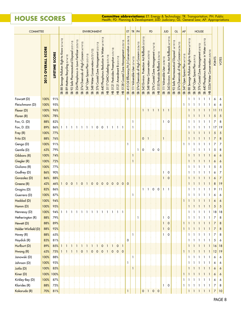**HOUSE SCORES Committee abbreviations:** ET: Energy & Technology; TR: Transportation; PH: Public **Health; PD: Planning & Development; JUD: Judiciary**; GL: General Law; AP: Appropriations

| <b>COMMITTEE</b>                 |                              |                |                                                                                          |                                                        |                                                                |                                                      |                                               | <b>ENVIRONMENT</b>                       |                                                     |                                          |                                                                       |                                |                                                  |                                                  |                                           | ET                                                            | $TR$ PH                          |                                               |                                                                | PD                                                              |                                                                    |                                      | <b>JUD</b>                       |                                                                               |                                                                                | GL                                         | AP                                  |                                                   |                                    | <b>HOUSE</b>                                 |                                                                                  |                                  |                                  |                |
|----------------------------------|------------------------------|----------------|------------------------------------------------------------------------------------------|--------------------------------------------------------|----------------------------------------------------------------|------------------------------------------------------|-----------------------------------------------|------------------------------------------|-----------------------------------------------------|------------------------------------------|-----------------------------------------------------------------------|--------------------------------|--------------------------------------------------|--------------------------------------------------|-------------------------------------------|---------------------------------------------------------------|----------------------------------|-----------------------------------------------|----------------------------------------------------------------|-----------------------------------------------------------------|--------------------------------------------------------------------|--------------------------------------|----------------------------------|-------------------------------------------------------------------------------|--------------------------------------------------------------------------------|--------------------------------------------|-------------------------------------|---------------------------------------------------|------------------------------------|----------------------------------------------|----------------------------------------------------------------------------------|----------------------------------|----------------------------------|----------------|
|                                  | <b>OVERALL SCORE</b><br>2012 | LIFETIME SCORE | (3/14/12)<br>Know<br>$\mathbf{\Omega}$<br>Right<br>Pollution<br><b>Sewage</b><br>88<br>æ | 89 Mattress Recycling (3/14/12)<br>$\ddot{\mathbf{g}}$ | (3/21/12)<br>Disposal<br>Safe Pharmaceutical<br>$\infty$<br>SB | in Lawn Fertilizer (3/23/12)<br>254 Phosphorus<br>SB | Chemicals of High Concern (4/19/12)<br>SB 274 | Space Plan (3/21/12)<br>Open<br>347<br>æ | servation $(3/21/12)$<br><b>S</b><br>348 Water<br>æ | SB 376 Coastal Zone Management (3/21/12) | (4/19/12)<br>440 Phosphorus Reduction In Water<br>$\ddot{\mathbf{g}}$ | HB 5117 GMO Labeling (3/21/12) | Pesticides Preemption 3/21/12)<br><b>HB 5121</b> | $\mathbf{\Omega}$<br>Amendment<br><b>HB 5121</b> | HB 5128 Coastal Zone Management (3/23/12) | SB 415 Oil Efficiency/H <sub>2</sub> 0 Conservation (3/28/12) | SB 111 Vulnerable User (3/14/12) | Chemicals of High Concern (3/26/12)<br>SB 274 | Rollback (3/23/12)<br>4d<br>Protection<br>Environ.<br>343<br>æ | Conservation (4/20/12)<br>348 Water<br>$\overline{\mathcal{S}}$ | 4/16/12<br>376 Coastal Zone Management<br>$\overline{\mathcal{S}}$ | HB 5155 Pesticide Rollback (2/24/12) | SB 111 Vulnerable User (3/28/12) | Environ. Protection Act Rollback (4/19/12)<br>343<br>$\overline{\mathcal{S}}$ | (4/19/12)<br>Disposal<br>Safe Pharmaceutical<br>92<br>$\overline{\mathcal{S}}$ | SB 274 Chemicals of High Concern (4/26/12) | Open Space Plan (4/13/12)<br>SB 347 | Sewage Pollution Right to Know (4/19/12)<br>SB 88 | Open Space Plan (5/9/12)<br>SB 347 | Zone Management (5/8/12)<br>376 Coastal<br>æ | 440 Phosphorus Reduction in Water (5/9/12)<br>$\ddot{\mathbf{g}}$<br>$\hat{\Xi}$ | 5334 Water Conservation (5/8/12) | <b>POINTS</b>                    | VOTES          |
| Fawcett (D)                      | 100%                         | 91%            |                                                                                          |                                                        |                                                                |                                                      |                                               |                                          |                                                     |                                          |                                                                       |                                |                                                  |                                                  |                                           | 1                                                             |                                  |                                               |                                                                |                                                                 |                                                                    |                                      |                                  |                                                                               |                                                                                |                                            |                                     | 1                                                 | $\mathbf{1}$                       | - 1                                          | $\mathbf{1}$<br>-1                                                               |                                  | 6                                | 6              |
| Fleischmann (D)                  | 100%                         | 95%            |                                                                                          |                                                        |                                                                |                                                      |                                               |                                          |                                                     |                                          |                                                                       |                                |                                                  |                                                  |                                           |                                                               |                                  |                                               |                                                                |                                                                 |                                                                    |                                      |                                  |                                                                               |                                                                                |                                            | 1                                   | 1                                                 |                                    |                                              | 1                                                                                |                                  | 6                                | 6              |
| Flexer (D)                       | 100%                         | 96%            |                                                                                          |                                                        |                                                                |                                                      |                                               |                                          |                                                     |                                          |                                                                       |                                |                                                  |                                                  |                                           |                                                               |                                  |                                               | $\mathbf{1}$                                                   | Ŧ.                                                              |                                                                    | $\pm 1$                              | $\mathbf{1}$                     | $\pm$ 1                                                                       |                                                                                |                                            |                                     |                                                   |                                    |                                              | $\mathbf{1}$                                                                     |                                  | 11                               | 11             |
| Floren (R)                       | 100%                         | 78%            |                                                                                          |                                                        |                                                                |                                                      |                                               |                                          |                                                     |                                          |                                                                       |                                |                                                  |                                                  |                                           |                                                               |                                  |                                               |                                                                |                                                                 |                                                                    |                                      |                                  |                                                                               |                                                                                |                                            |                                     |                                                   |                                    |                                              |                                                                                  |                                  | 5                                | 5              |
| Fox, G. (D)                      | 88%                          | 82%            |                                                                                          |                                                        |                                                                |                                                      |                                               |                                          |                                                     |                                          |                                                                       |                                |                                                  |                                                  |                                           |                                                               | 1                                |                                               |                                                                |                                                                 |                                                                    |                                      | 1                                | 0                                                                             |                                                                                |                                            |                                     | 1                                                 |                                    | -1                                           | 1                                                                                |                                  | 7                                | 8              |
| Fox, D. (D)                      | 89%                          | 86%            |                                                                                          |                                                        |                                                                |                                                      |                                               |                                          |                                                     | 0                                        | 0                                                                     | -1                             |                                                  | -1                                               | -1                                        |                                                               |                                  |                                               |                                                                |                                                                 |                                                                    |                                      |                                  |                                                                               |                                                                                |                                            |                                     |                                                   |                                    |                                              | -1                                                                               |                                  | 17                               | 19             |
| Frey (R)                         | 100%                         | 77%            |                                                                                          |                                                        |                                                                |                                                      |                                               |                                          |                                                     |                                          |                                                                       |                                |                                                  |                                                  |                                           |                                                               |                                  |                                               |                                                                |                                                                 |                                                                    |                                      |                                  |                                                                               |                                                                                |                                            |                                     |                                                   |                                    |                                              |                                                                                  |                                  | 5                                | 5              |
| Fritz (D)                        | 88%                          | 76%            |                                                                                          |                                                        |                                                                |                                                      |                                               |                                          |                                                     |                                          |                                                                       |                                |                                                  |                                                  |                                           |                                                               |                                  |                                               | $\mathbf 0$                                                    |                                                                 |                                                                    |                                      |                                  |                                                                               |                                                                                |                                            |                                     | 1                                                 |                                    |                                              |                                                                                  |                                  | $\overline{7}$                   | 8              |
| Genga (D)                        | 100%                         | 91%            |                                                                                          |                                                        |                                                                |                                                      |                                               |                                          |                                                     |                                          |                                                                       |                                |                                                  |                                                  |                                           | 1                                                             |                                  |                                               |                                                                |                                                                 |                                                                    |                                      |                                  |                                                                               |                                                                                |                                            | 1                                   |                                                   |                                    |                                              | 1                                                                                |                                  | 7                                | 7              |
| Gentile (D)                      | 63%                          | 79%            |                                                                                          |                                                        |                                                                |                                                      |                                               |                                          |                                                     |                                          |                                                                       |                                |                                                  |                                                  |                                           |                                                               |                                  | -1                                            | 0                                                              |                                                                 | 0                                                                  | $\frac{1}{2}$ 0                      |                                  |                                                                               |                                                                                |                                            |                                     |                                                   |                                    |                                              | 1                                                                                |                                  | 5                                | 8              |
| Gibbons (R)                      | 100%                         | 74%            |                                                                                          |                                                        |                                                                |                                                      |                                               |                                          |                                                     |                                          |                                                                       |                                |                                                  |                                                  |                                           |                                                               | 1                                |                                               |                                                                |                                                                 |                                                                    |                                      |                                  |                                                                               |                                                                                |                                            |                                     |                                                   |                                    |                                              | 1                                                                                |                                  | 6                                | 6              |
| Giegler (R)                      | 100%                         | 72%            |                                                                                          |                                                        |                                                                |                                                      |                                               |                                          |                                                     |                                          |                                                                       |                                |                                                  |                                                  |                                           |                                                               | 1                                |                                               |                                                                |                                                                 |                                                                    |                                      |                                  |                                                                               |                                                                                |                                            |                                     |                                                   |                                    |                                              |                                                                                  |                                  | 6                                | 6              |
| Giuliano (R)                     | 100%                         | 77%            |                                                                                          |                                                        |                                                                |                                                      |                                               |                                          |                                                     |                                          |                                                                       |                                |                                                  |                                                  |                                           |                                                               |                                  |                                               |                                                                |                                                                 |                                                                    |                                      |                                  |                                                                               |                                                                                |                                            |                                     | 1                                                 |                                    |                                              | 1                                                                                |                                  | 5                                | 5              |
| Godfrey (D)                      | 86%                          | 90%            |                                                                                          |                                                        |                                                                |                                                      |                                               |                                          |                                                     |                                          |                                                                       |                                |                                                  |                                                  |                                           |                                                               |                                  |                                               |                                                                |                                                                 |                                                                    |                                      | 1                                | 0                                                                             |                                                                                |                                            |                                     |                                                   |                                    |                                              | 1                                                                                |                                  | 6                                | 7              |
| Gonzalez (D)                     | 86%                          | 88%            |                                                                                          |                                                        |                                                                |                                                      |                                               |                                          |                                                     |                                          |                                                                       |                                |                                                  |                                                  |                                           |                                                               |                                  |                                               |                                                                |                                                                 |                                                                    |                                      | 1                                | $\mathbf 0$                                                                   |                                                                                |                                            |                                     |                                                   |                                    |                                              |                                                                                  |                                  | 6                                | $\overline{7}$ |
| Greene (R)                       | 42%                          | 46%            |                                                                                          | 0                                                      | $\mathbf 0$                                                    | i 1                                                  | $\mathbf 0$                                   | 1                                        | 0                                                   | $\mathbf 0$                              | $\mathbf 0$                                                           | $\mathbf 0$                    | $\mathbf 0$                                      | $\mathbf 0$                                      | $\mathbf{0}$                              | $\mathbf 0$                                                   |                                  |                                               |                                                                |                                                                 |                                                                    |                                      |                                  |                                                                               |                                                                                |                                            |                                     | 1                                                 |                                    |                                              | 1                                                                                |                                  | 8                                | 19             |
| Grogins (D)                      | 82%                          | 86%            |                                                                                          |                                                        |                                                                |                                                      |                                               |                                          |                                                     |                                          |                                                                       |                                |                                                  |                                                  |                                           |                                                               |                                  |                                               | $\mathbf{1}$                                                   |                                                                 | 0                                                                  | 0                                    | 1                                | ΞI                                                                            |                                                                                |                                            |                                     |                                                   |                                    |                                              | 1                                                                                |                                  | 9                                | 11             |
| Guerrera (D)                     | 100%                         | 87%            |                                                                                          |                                                        |                                                                |                                                      |                                               |                                          |                                                     |                                          |                                                                       |                                |                                                  |                                                  |                                           |                                                               |                                  |                                               |                                                                |                                                                 |                                                                    |                                      |                                  |                                                                               |                                                                                |                                            |                                     |                                                   |                                    |                                              | 1                                                                                |                                  | 6                                | 6              |
| Haddad (D)                       | 100%                         | 94%            |                                                                                          |                                                        |                                                                |                                                      |                                               |                                          |                                                     |                                          |                                                                       |                                |                                                  |                                                  |                                           |                                                               |                                  |                                               |                                                                |                                                                 |                                                                    |                                      |                                  |                                                                               |                                                                                |                                            | $\mathbf{I}$                        | 1                                                 |                                    |                                              |                                                                                  |                                  | 6                                | 6              |
| Hamm (D)                         | 100%                         | 95%            |                                                                                          |                                                        |                                                                |                                                      |                                               |                                          |                                                     |                                          |                                                                       |                                |                                                  |                                                  |                                           |                                                               |                                  |                                               |                                                                |                                                                 |                                                                    |                                      |                                  |                                                                               |                                                                                |                                            |                                     | 1                                                 | $\mathbf{1}$                       | Ŧ<br>$\mathbf{1}$                            | Ŧ<br>$\mathbf{1}$<br>$\mathbf{1}$                                                |                                  | 5                                | 5              |
| Hennessy (D)                     | 100%                         | 94%            |                                                                                          | $1 \pm 1$                                              | $-1111$                                                        |                                                      | 313131                                        |                                          |                                                     | 3 I 3 I                                  |                                                                       | $\pm$ 1                        | 1<br>÷                                           | $\mathbf{1}$<br>÷                                | $\pm$ 1                                   |                                                               |                                  |                                               |                                                                |                                                                 |                                                                    |                                      |                                  |                                                                               |                                                                                |                                            |                                     | 1                                                 | 3 T 3 T                            |                                              | ÷<br>1<br>÷ 1                                                                    |                                  | 18                               | 18             |
| Hetherington (R)<br>Hewett (D)   | 88%                          | 79%            |                                                                                          |                                                        |                                                                |                                                      |                                               |                                          |                                                     |                                          |                                                                       |                                |                                                  |                                                  |                                           |                                                               |                                  | 1                                             |                                                                |                                                                 |                                                                    |                                      | 1                                | $\mathbf 0$                                                                   |                                                                                |                                            |                                     | 1                                                 | -1                                 | ÷ 1                                          | i 1<br>i 1                                                                       |                                  | 7                                | 8              |
|                                  | 88%                          | 89%<br>92%     |                                                                                          |                                                        |                                                                |                                                      |                                               |                                          |                                                     |                                          |                                                                       |                                |                                                  |                                                  |                                           |                                                               |                                  |                                               |                                                                |                                                                 |                                                                    |                                      | 1                                | $\mathbf 0$                                                                   |                                                                                |                                            | 1                                   | $1 \nmid 1$                                       |                                    | $\pm 1$                                      | $\pm$ 1<br>- 1                                                                   |                                  | $\overline{7}$<br>$\overline{7}$ | 8              |
| Holder-Winfield (D)<br>Hovey (R) | 88%<br>88%                   | 65%            |                                                                                          |                                                        |                                                                |                                                      |                                               |                                          |                                                     |                                          |                                                                       |                                |                                                  |                                                  |                                           |                                                               | 1                                |                                               |                                                                |                                                                 |                                                                    |                                      | $\mathbf{1}$<br>1                | $\frac{1}{2}$ 0<br>$\mathbf 0$                                                |                                                                                |                                            | $\mathbf{1}$                        | 1<br>1                                            | $\pm 1$<br>-1                      | $\pm 1$<br>-1                                | $\pm 1$<br>i 1<br>1<br>-1                                                        |                                  | $\overline{7}$                   | 8<br>8         |
| Hoydick (R)                      | 83%                          | 81%            |                                                                                          |                                                        |                                                                |                                                      |                                               |                                          |                                                     |                                          |                                                                       |                                |                                                  |                                                  |                                           | $\mathbf 0$                                                   |                                  |                                               |                                                                |                                                                 |                                                                    |                                      |                                  |                                                                               |                                                                                |                                            |                                     | 1                                                 | 1                                  | -1                                           | -1<br>1                                                                          |                                  | 5                                | 6              |
| Hurlburt (D)                     | 89%                          | 85%            | -1                                                                                       |                                                        | 11 I 1                                                         |                                                      | $\mathbf{1}$                                  | i 1                                      | $\pm 1$                                             | $\mathbf{1}$                             | $\mathbf 0$                                                           | $\pm$ 1                        | Ŧ<br>$\mathbf{1}$                                | $\vdots$ 0                                       | † 1                                       |                                                               |                                  |                                               |                                                                |                                                                 |                                                                    |                                      |                                  |                                                                               |                                                                                |                                            |                                     | 1                                                 |                                    | -1                                           | $\pm$ 1<br>i 1                                                                   |                                  | 16                               | 18             |
| Hwang (R)                        | 63%                          | 75%            | -1                                                                                       | $\pm$ 1                                                | $\pm 1$                                                        | -1                                                   | $\mathbf 0$                                   | i 1 i                                    | $\overline{0}$                                      | $\mathbf 0$                              | $\frac{1}{2}$ 0                                                       | 11                             | $\mathbf 0$                                      | 0:0                                              |                                           |                                                               |                                  |                                               |                                                                |                                                                 |                                                                    |                                      |                                  |                                                                               |                                                                                |                                            | $\mathbf{1}$                        | 1<br>Ŧ                                            | -1                                 | $\pm 1$                                      | $\pm$ 1<br>† 1                                                                   |                                  | 12                               | 19             |
| Janowski (D)                     | 100%                         | 88%            |                                                                                          |                                                        |                                                                |                                                      |                                               |                                          |                                                     |                                          |                                                                       |                                |                                                  |                                                  |                                           |                                                               | 1                                |                                               |                                                                |                                                                 |                                                                    |                                      |                                  |                                                                               |                                                                                |                                            |                                     | 1                                                 | 3 T 3 T                            |                                              | -1<br>i 1                                                                        |                                  | 6                                | 6              |
| Johnson (D)                      | 100%                         | 93%            |                                                                                          |                                                        |                                                                |                                                      |                                               |                                          |                                                     |                                          |                                                                       |                                |                                                  |                                                  |                                           | 1                                                             |                                  |                                               |                                                                |                                                                 |                                                                    |                                      |                                  |                                                                               |                                                                                |                                            |                                     | I.                                                | -1                                 | -1                                           | i 1<br>i 1                                                                       |                                  | 6                                | 6              |
| Jutila (D)                       | 100%                         | 85%            |                                                                                          |                                                        |                                                                |                                                      |                                               |                                          |                                                     |                                          |                                                                       |                                |                                                  |                                                  |                                           |                                                               |                                  |                                               |                                                                |                                                                 |                                                                    |                                      |                                  |                                                                               |                                                                                |                                            |                                     | 1                                                 | $1 \pm 1$                          |                                              | -1<br>11                                                                         |                                  | 6                                | 6              |
| Kiner (D)                        |                              | 100% 100%      |                                                                                          |                                                        |                                                                |                                                      |                                               |                                          |                                                     |                                          |                                                                       |                                |                                                  |                                                  |                                           |                                                               |                                  |                                               |                                                                |                                                                 |                                                                    |                                      |                                  |                                                                               |                                                                                |                                            | $\mathbf{1}$                        | 1                                                 | -1                                 | -1                                           | $\pm$ 1<br>91                                                                    |                                  | 6                                | 6              |
| Kirkley-Bey (D)                  | 100%                         | 87%            |                                                                                          |                                                        |                                                                |                                                      |                                               |                                          |                                                     |                                          |                                                                       |                                |                                                  |                                                  |                                           |                                                               |                                  |                                               |                                                                |                                                                 |                                                                    |                                      |                                  |                                                                               |                                                                                |                                            | 1                                   | 1                                                 | $\mathbf{1}$                       | $\mathbf{1}$<br>÷                            | 1<br>i 1<br>÷                                                                    |                                  | 6                                | 6              |
| Klarides (R)                     | 88%                          | 75%            |                                                                                          |                                                        |                                                                |                                                      |                                               |                                          |                                                     |                                          |                                                                       |                                |                                                  |                                                  |                                           |                                                               |                                  |                                               |                                                                |                                                                 |                                                                    |                                      | 1                                | $\mathbf 0$                                                                   |                                                                                |                                            | 1                                   | 1                                                 |                                    | 313131                                       | ÷ 1                                                                              |                                  | 7                                | 8              |
| Kokoruda (R)                     | 70%                          | 81%            |                                                                                          |                                                        |                                                                |                                                      |                                               |                                          |                                                     |                                          |                                                                       |                                |                                                  |                                                  |                                           |                                                               |                                  |                                               | $\mathbf 0$                                                    | i 1                                                             | $\mathbf 0$                                                        | $\mathbf 0$                          |                                  |                                                                               |                                                                                |                                            |                                     | $\mathbf{1}$                                      | $\pm 1$                            | $\pm 1$                                      | $\pm$ 1                                                                          |                                  | $\overline{7}$                   | 10             |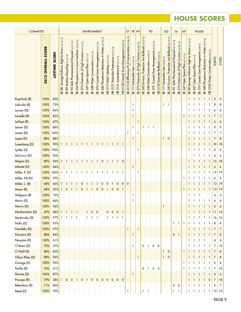## **HOUSE Scores**

| <b>COMMITTEE</b> |                              |                          |                                                     |                                       |                                                         |                                                                        |                                              | <b>ENVIRONMENT</b>                  |                                       |                                             |                                                     |                                |                                                   |                               |                                           | ET                                                                           | TR PH                            |                                                              |                                                     |                                        | PD                                          |                                                      |                                  | <b>JUD</b>                                          |                                                         | GL                                         | AP                                 |                                                                   |                                     | <b>HOUSE</b>                                           |                                                    |                                       |                |                |
|------------------|------------------------------|--------------------------|-----------------------------------------------------|---------------------------------------|---------------------------------------------------------|------------------------------------------------------------------------|----------------------------------------------|-------------------------------------|---------------------------------------|---------------------------------------------|-----------------------------------------------------|--------------------------------|---------------------------------------------------|-------------------------------|-------------------------------------------|------------------------------------------------------------------------------|----------------------------------|--------------------------------------------------------------|-----------------------------------------------------|----------------------------------------|---------------------------------------------|------------------------------------------------------|----------------------------------|-----------------------------------------------------|---------------------------------------------------------|--------------------------------------------|------------------------------------|-------------------------------------------------------------------|-------------------------------------|--------------------------------------------------------|----------------------------------------------------|---------------------------------------|----------------|----------------|
|                  | <b>OVERALL SCORE</b><br>2012 | <b>SCORE</b><br>LIFETIME | Sewage Pollution Right to Know (3/14/12)<br>88<br>æ | 89 Mattress Recycling (3/14/12)<br>SB | (3/21/12)<br>Disposal<br>Safe Pharmaceutical<br>92<br>ஜ | (3/23/1)<br>izer<br>Fertil<br>Lawn<br>$\equiv$<br>254 Phosphorus<br>SB | 274 Chemicals of High Concern (4/19/12)<br>æ | 347 Open Space Plan (3/21/12)<br>SB | 348 Water Conservation (3/21/12)<br>æ | 376 Coastal Zone Management (3/21/12)<br>SB | Reduction In Water (4/19/12)<br>440 Phosphorus<br>æ | HB 5117 GMO Labeling (3/21/12) | 5121 Pesticides Preemption (3/21/12)<br>$\dot{E}$ | HB 5121 Amendment B (3/21/12) | HB 5128 Coastal Zone Management (3/23/12) | 415 Oil Efficiency/H <sub>2</sub> 0 Conservation (3/28/12)<br>$\mathfrak{B}$ | SB 111 Vulnerable User (3/14/12) | of High Concern (3/26/12)<br>274 Chemicals<br>$\mathfrak{B}$ | 343 Environ. Protection Act Rollback (3/23/12)<br>æ | 348 Water Conservation (4/20/12)<br>SB | Coastal Zone Management (4/16/12)<br>SB 376 | (2/24/12)<br>55 Pesticide Rollback<br>5<br>$\hat{H}$ | SB 111 Vulnerable User (3/28/12) | 343 Environ. Protection Act Rollback (4/19/12)<br>æ | Safe Pharmaceutical Disposal (4/19/12)<br>$\infty$<br>æ | SB 274 Chemicals of High Concern (4/26/12) | 347 Open Space Plan (4/13/12)<br>æ | Know (4/19/12)<br>Sewage Pollution Right to<br>$\frac{8}{2}$<br>æ | Space Plan (5/9/1<br>347 Open<br>SB | 376 Coastal Zone Management (5/8/12)<br>$\mathfrak{B}$ | 440 Phosphorus Reduction in Water (5/9/12)<br>း်ဆွ | 5334 Water Conservation (5/8/12)<br>E | <b>POINTS</b>  | VOTES          |
| Kupchick (R)     | 100%                         | 85%                      |                                                     |                                       |                                                         |                                                                        |                                              |                                     |                                       |                                             |                                                     |                                |                                                   |                               |                                           |                                                                              |                                  |                                                              |                                                     |                                        |                                             |                                                      |                                  |                                                     |                                                         |                                            |                                    | 1                                                                 |                                     | $\mathbf{1}$                                           | $\overline{1}$                                     | $\mathbf{1}$                          | 5              | $\overline{5}$ |
| Labriola (R)     | 100%                         | 75%                      |                                                     |                                       |                                                         |                                                                        |                                              |                                     |                                       |                                             |                                                     |                                |                                                   |                               |                                           |                                                                              | 1                                |                                                              |                                                     |                                        |                                             |                                                      | 1                                | ÷ 1                                                 |                                                         |                                            |                                    | 1                                                                 | 1                                   |                                                        | $\mathbf{1}$                                       | -1                                    | 8              | 8              |
| Larson (D)       | 100%                         | 86%                      |                                                     |                                       |                                                         |                                                                        |                                              |                                     |                                       |                                             |                                                     |                                |                                                   |                               |                                           |                                                                              | 1                                |                                                              |                                                     |                                        |                                             |                                                      |                                  |                                                     |                                                         |                                            |                                    | 1                                                                 |                                     |                                                        | 1                                                  | -1                                    | 6              | 6              |
| Lavielle (R)     | 100%                         | 82%                      |                                                     |                                       |                                                         |                                                                        |                                              |                                     |                                       |                                             |                                                     |                                |                                                   |                               |                                           |                                                                              |                                  |                                                              |                                                     |                                        |                                             |                                                      |                                  |                                                     |                                                         |                                            |                                    |                                                                   |                                     | Ŧ                                                      | $\pm$ 1                                            | -1                                    | $\overline{7}$ | $\overline{7}$ |
| LeGeyt (R)       | 100%                         | 87%                      |                                                     |                                       |                                                         |                                                                        |                                              |                                     |                                       |                                             |                                                     |                                |                                                   |                               |                                           |                                                                              |                                  | 1                                                            |                                                     |                                        |                                             |                                                      |                                  |                                                     |                                                         |                                            |                                    |                                                                   |                                     | -1                                                     | i 1                                                |                                       | 6              | 6              |
| Lemar (D)        | 100%                         | 88%                      |                                                     |                                       |                                                         |                                                                        |                                              |                                     |                                       |                                             |                                                     |                                |                                                   |                               |                                           |                                                                              | 1                                |                                                              | 1                                                   | ÷<br>1                                 | - 1                                         |                                                      |                                  |                                                     |                                                         |                                            |                                    |                                                                   |                                     |                                                        | $\mathbf{1}$                                       |                                       | 9              | 9              |
| Lesser (D)       | 100%                         | 100%                     |                                                     |                                       |                                                         |                                                                        |                                              |                                     |                                       |                                             |                                                     |                                |                                                   |                               |                                           | 1                                                                            |                                  | 1                                                            |                                                     |                                        |                                             |                                                      |                                  |                                                     |                                                         |                                            |                                    |                                                                   |                                     |                                                        |                                                    | -1                                    | 7              | 7              |
| Lopes (D)        | 88%                          | 88%                      |                                                     |                                       |                                                         |                                                                        |                                              |                                     |                                       |                                             |                                                     |                                |                                                   |                               |                                           |                                                                              | $\mathbf{1}$                     |                                                              |                                                     |                                        |                                             |                                                      | $\mathbf{1}$                     | $\mathbf 0$                                         |                                                         |                                            |                                    |                                                                   |                                     |                                                        |                                                    |                                       | 7              | $\bf 8$        |
| Luxenberg (D)    | 100%                         | 90%                      |                                                     |                                       | 181818181                                               |                                                                        |                                              | $\pm 1$                             | $\pm 1$                               |                                             | 1:1:1                                               |                                | Ŧ                                                 | HH 1                          |                                           |                                                                              |                                  |                                                              |                                                     |                                        |                                             |                                                      |                                  |                                                     |                                                         |                                            |                                    |                                                                   |                                     |                                                        | i 1                                                | $\pm 1$                               | 18             | 18             |
| Lyddy (D)        | 100%                         | 100%                     |                                                     |                                       |                                                         |                                                                        |                                              |                                     |                                       |                                             |                                                     |                                |                                                   |                               |                                           |                                                                              |                                  | 1                                                            |                                                     |                                        |                                             |                                                      |                                  |                                                     |                                                         |                                            |                                    | 1                                                                 | -1                                  |                                                        | -1                                                 |                                       | 6              | 6              |
| McCrory (D)      | 100%                         | 90%                      |                                                     |                                       |                                                         |                                                                        |                                              |                                     |                                       |                                             |                                                     |                                |                                                   |                               |                                           |                                                                              |                                  |                                                              |                                                     |                                        |                                             |                                                      |                                  |                                                     |                                                         |                                            |                                    |                                                                   |                                     |                                                        | -1                                                 |                                       | 4              | 4              |
| Megna (D)        | 89%                          | 96%                      | $\mathbf{1}$                                        |                                       |                                                         |                                                                        |                                              |                                     |                                       | 1                                           | $\mathbf 0$                                         | 1                              | Ŧ                                                 | $\pm 1$                       | $\mathbf 0$                               |                                                                              |                                  |                                                              |                                                     |                                        |                                             |                                                      |                                  |                                                     |                                                         |                                            |                                    |                                                                   |                                     |                                                        |                                                    | ÷<br>-1                               | 16             | 18             |
| Mikutel (D)      | 100%                         | 84%                      |                                                     |                                       |                                                         |                                                                        |                                              |                                     |                                       |                                             |                                                     |                                |                                                   |                               |                                           |                                                                              | $\mathbf{1}$                     |                                                              |                                                     |                                        |                                             |                                                      |                                  |                                                     |                                                         |                                            |                                    |                                                                   |                                     | $\mathbf{1}$                                           | $\pm 1$                                            | -1                                    | 6              | 6              |
| Miller, P. (D)   | 100%                         | 100%                     |                                                     |                                       |                                                         |                                                                        |                                              |                                     |                                       |                                             |                                                     |                                |                                                   |                               |                                           |                                                                              |                                  | 1                                                            |                                                     |                                        |                                             |                                                      |                                  |                                                     |                                                         |                                            |                                    |                                                                   |                                     |                                                        | $\mathbf{1}$                                       | ÷ 1.                                  | 19             | 19             |
| Miller, P.B (D)  | 100%                         | 93%                      |                                                     |                                       |                                                         |                                                                        |                                              |                                     |                                       |                                             |                                                     |                                |                                                   |                               |                                           |                                                                              |                                  |                                                              |                                                     |                                        |                                             |                                                      |                                  |                                                     |                                                         |                                            |                                    |                                                                   |                                     |                                                        | 1                                                  |                                       | 6              | 6              |
| Miller, L. (R)   | 68%                          | 66%                      | $\mathbf{1}$                                        | $\mathbf{1}$                          | ÷ 1                                                     | $\pm$ 1                                                                | $\mathbf 0$                                  | i 1                                 | $\pm$ 1                               | $\mathbf{1}$                                | $\mathbf 0$                                         | $\mathbf 0$                    |                                                   | $\mathbf 0$                   | $\mathbf 0$                               | $\mathbf{0}$                                                                 |                                  |                                                              |                                                     |                                        |                                             |                                                      |                                  |                                                     |                                                         |                                            |                                    |                                                                   |                                     |                                                        | $\mathbf{1}$                                       |                                       |                | 13 19          |
| Miner (R)        | 68%                          | 55%                      | 1 <sup>1</sup>                                      |                                       | 0:1:1:                                                  |                                                                        |                                              | 0:1:1                               |                                       |                                             |                                                     | 0:0:1:                         | $\mathbf{O}$                                      | $\pm 0 \pm 1$                 |                                           |                                                                              |                                  |                                                              |                                                     |                                        |                                             |                                                      |                                  |                                                     |                                                         |                                            | -1                                 | 1                                                                 | 1                                   | $\pm 1$                                                | $\pm 1$                                            | $\pm 1$                               | 13             | 19             |
| Molgano (R)      | 100%                         | 72%                      |                                                     |                                       |                                                         |                                                                        |                                              |                                     |                                       |                                             |                                                     |                                |                                                   |                               |                                           |                                                                              | 1                                |                                                              |                                                     |                                        |                                             |                                                      |                                  |                                                     |                                                         |                                            |                                    | 1                                                                 | ÷ 1                                 | ÷ 1                                                    |                                                    |                                       | 4              | $\overline{4}$ |
| Morin (D)        | 100%                         | 86%                      |                                                     |                                       |                                                         |                                                                        |                                              |                                     |                                       |                                             |                                                     |                                |                                                   |                               |                                           |                                                                              | 1                                |                                                              |                                                     |                                        |                                             |                                                      |                                  |                                                     |                                                         |                                            |                                    |                                                                   | $1 \pm 1$                           | ÷ 1.                                                   | 3 I 3 I                                            |                                       | 6              | 6              |
| Morris (D)       | 100%                         | 96%                      |                                                     |                                       |                                                         |                                                                        |                                              |                                     |                                       |                                             |                                                     |                                |                                                   |                               |                                           |                                                                              |                                  |                                                              |                                                     |                                        |                                             |                                                      | $\mathbf{1}$                     |                                                     |                                                         |                                            |                                    |                                                                   | $\mathbf{1}$                        | $\mathbf{1}$                                           | $\pm 1$                                            | 1                                     | 6              | 6              |
| Moukawsher (D)   | 69%                          | 68%                      | $\mathbf{1}$                                        | $\overline{1}$                        | Ŧ<br>$\mathbf{1}$                                       | $\pm$ 1                                                                |                                              | 1                                   | $\frac{1}{2}$ 0                       | $\frac{1}{2}$ 0                             |                                                     | $\pmb{0}$                      | $\mathbf 0$                                       | 0:1                           |                                           |                                                                              |                                  |                                                              |                                                     |                                        |                                             |                                                      |                                  |                                                     |                                                         | ł                                          |                                    |                                                                   | 1                                   | Ŧ<br>$\mathbf{1}$                                      | † 1                                                | $\pm 1$                               | 11             | 16             |
| Mushinsky (D)    | 100%                         | 97%                      | $\mathbf{1}$                                        | $\overline{1}$<br>÷                   |                                                         | $1 \pm 1$                                                              |                                              | $\mathbf{1}$                        | $\pm$ 1                               | $\pm$ 1                                     |                                                     | 1<br>÷                         | $\mathbf{1}$                                      | $\pm 1$                       | $\pm$ 1                                   |                                                                              |                                  |                                                              |                                                     |                                        |                                             |                                                      |                                  |                                                     |                                                         |                                            |                                    | 1                                                                 | 1                                   | 1<br>÷                                                 | $\pm$ 1                                            | $\pm$ 1                               | 16             | 16             |
| Nafis (D)        | 100%                         | 93%                      |                                                     |                                       |                                                         |                                                                        |                                              |                                     |                                       |                                             |                                                     |                                |                                                   |                               |                                           |                                                                              |                                  |                                                              |                                                     |                                        |                                             |                                                      |                                  |                                                     |                                                         | $1\pm1$                                    | $\mathbf{1}$                       | $\mathbf{1}$                                                      | $\pm$ 1                             | ÷ 1.                                                   | -1                                                 | $\pm$ 1                               | 8              | 8              |
| Nardello (D)     | 100%                         | 97%                      |                                                     |                                       |                                                         |                                                                        |                                              |                                     |                                       |                                             |                                                     |                                |                                                   |                               |                                           | $\mathbf{1}$                                                                 |                                  | $\mathbf{1}$                                                 |                                                     |                                        |                                             |                                                      |                                  |                                                     |                                                         |                                            |                                    | $\mathbf{1}$                                                      | $\pm$ 1                             | $\pm$ 1                                                | $\pm 1$                                            | $\pm 1$                               | 7              | $\overline{7}$ |
| Nicastro (D)     | 88%                          | 84%                      |                                                     |                                       |                                                         |                                                                        |                                              |                                     |                                       |                                             |                                                     |                                |                                                   |                               |                                           |                                                                              | $\mathbf{1}$                     |                                                              |                                                     |                                        |                                             |                                                      |                                  |                                                     | 0                                                       | I 1                                        |                                    | 1                                                                 | $\pm 1$                             | $\pm 1$                                                | $\pm 1$                                            | -11                                   | $\overline{7}$ | 8              |
| Noujaim (R)      | 100%                         | 61%                      |                                                     |                                       |                                                         |                                                                        |                                              |                                     |                                       |                                             |                                                     |                                |                                                   |                               |                                           |                                                                              |                                  |                                                              |                                                     |                                        |                                             |                                                      |                                  |                                                     |                                                         |                                            |                                    | 1                                                                 | $\mathbf{1}$                        | 1                                                      | -1                                                 |                                       | 4              | 4              |
| O Brien (D)      | 70%                          | 57%                      |                                                     |                                       |                                                         |                                                                        |                                              |                                     |                                       |                                             |                                                     |                                |                                                   |                               |                                           |                                                                              | $\mathbf{1}$                     |                                                              | 0                                                   | $\pm 1$                                | $\mathsf{O}\xspace$<br>÷                    | $\frac{1}{2}$ 0                                      |                                  |                                                     |                                                         |                                            |                                    | 1                                                                 | 1                                   | 1                                                      | 3 I 3 I                                            |                                       | $\overline{7}$ | 10             |
| O Neill (R)      | 88%                          | 83%                      |                                                     |                                       |                                                         |                                                                        |                                              |                                     |                                       |                                             |                                                     |                                |                                                   |                               |                                           |                                                                              |                                  |                                                              |                                                     |                                        |                                             |                                                      | $\mathbf{1}$                     | $\mathbf 0$<br>÷                                    |                                                         |                                            |                                    | 1                                                                 | $\pm 1$                             | Ŧ<br>$\mathbf{1}$                                      | i 1                                                | $\pm$ 1                               | $\overline{7}$ | 8              |
| Olson-Riley (D)  | 88%                          | 96%                      |                                                     |                                       |                                                         |                                                                        |                                              |                                     |                                       |                                             |                                                     |                                |                                                   |                               |                                           |                                                                              |                                  | 1                                                            |                                                     |                                        |                                             |                                                      | $\mathbf{1}$                     | $\frac{1}{2}$ 0                                     |                                                         |                                            |                                    | 1                                                                 | $\mathbf{1}$                        | Ŧ<br>$\mathbf{1}$                                      | I 1                                                | $\pm$ 1                               | 7              | 8              |
| Orange (D)       | 100%                         | 90%                      |                                                     |                                       |                                                         |                                                                        |                                              |                                     |                                       |                                             |                                                     |                                |                                                   |                               |                                           |                                                                              |                                  |                                                              |                                                     |                                        |                                             |                                                      |                                  |                                                     |                                                         |                                            | $\mathbf{1}$                       | 1                                                                 | ÷<br>$\mathbf{1}$                   | 1                                                      | $\pm$ 1                                            | ÷ 1.                                  | 6              | 6              |
| Perillo (R)      | 70%                          | 61%                      |                                                     |                                       |                                                         |                                                                        |                                              |                                     |                                       |                                             |                                                     |                                |                                                   |                               |                                           |                                                                              |                                  |                                                              | 0                                                   | $\pm$ 1<br>÷                           |                                             | 0:0                                                  |                                  |                                                     |                                                         |                                            |                                    | 1                                                                 | 1                                   | 1                                                      | ÷<br>$\mathbf{1}$                                  | $\pm$ 1                               | 7              | 10             |
| Perone (D)       | 100%                         | 87%                      |                                                     |                                       |                                                         |                                                                        |                                              |                                     |                                       |                                             |                                                     |                                |                                                   |                               |                                           |                                                                              | $\mathbf{1}$                     |                                                              |                                                     |                                        |                                             |                                                      |                                  |                                                     |                                                         |                                            |                                    | $\mathbf{1}$                                                      | $\pm$ 1                             | Ŧ<br>$\mathbf{1}$                                      | $\pm 1$                                            | $\pm 1$                               | 6              | 6              |
| Piscopo (R)      | 39%                          | 38%                      | 1:                                                  | 0 <sup>1</sup>                        | $\overline{0}$                                          | H 1 H                                                                  | $\mathbf 0$                                  | $\pm 1$                             | $\mathbf 0$                           | $\mathbf 0$                                 | $\mathbf 0$                                         | $\mathbf 0$                    | $\mathbf 0$                                       | 0:0                           |                                           |                                                                              |                                  |                                                              |                                                     |                                        |                                             |                                                      |                                  |                                                     |                                                         |                                            |                                    | 1                                                                 | -1                                  | $\pm 1$                                                | i 1<br>J.                                          | $\overline{0}$                        | $\overline{7}$ | 18             |
| Rebimbas (R)     | 71%                          | 80%                      |                                                     |                                       |                                                         |                                                                        |                                              |                                     |                                       |                                             |                                                     |                                |                                                   |                               |                                           |                                                                              |                                  |                                                              |                                                     |                                        |                                             |                                                      |                                  |                                                     | 0                                                       | $\mathbf 0$                                |                                    | 1                                                                 | $\pm$ 1                             | ÷ 1.                                                   | $\pm 1$                                            | -1                                    | 5              | 7              |
| Reed (D)         | 100%                         | 99%                      |                                                     |                                       |                                                         |                                                                        |                                              |                                     |                                       |                                             |                                                     |                                |                                                   |                               |                                           |                                                                              |                                  |                                                              | ÷<br>$\mathbf{1}$                                   | $\mathbf{1}$                           |                                             |                                                      |                                  |                                                     |                                                         | $1 \nmid 1$                                |                                    |                                                                   |                                     | $1\{1\}1\{1\}1$                                        |                                                    | $\pm$ 1                               |                | 10 10          |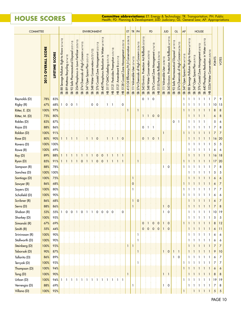## **House Scores**

**Committee abbreviations:** ET: Energy & Technology; TR: Transportation; PH: Public Health; PD: Planning & Development; JUD: Judiciary; GL: General Law; AP: Appropriations

| <b>COMMITTEE</b>        |                              |                |                                                                                     |                                          |                                                             |                                                        |                                                 | <b>ENVIRONMENT</b>                          |                                           |                                               |                                                  |                                |                                                                   |                                                               |                                                      | ET                                                              | $TR$ PH                          |                                                     |                                                                            | PD                                       |                                                |                                                | <b>JUD</b>                       |                                                           | GL                                                         |                                                          | <b>AP</b>                          |                                                     |                                       | <b>HOUSE</b>                                     |                                                                                           |                |                |
|-------------------------|------------------------------|----------------|-------------------------------------------------------------------------------------|------------------------------------------|-------------------------------------------------------------|--------------------------------------------------------|-------------------------------------------------|---------------------------------------------|-------------------------------------------|-----------------------------------------------|--------------------------------------------------|--------------------------------|-------------------------------------------------------------------|---------------------------------------------------------------|------------------------------------------------------|-----------------------------------------------------------------|----------------------------------|-----------------------------------------------------|----------------------------------------------------------------------------|------------------------------------------|------------------------------------------------|------------------------------------------------|----------------------------------|-----------------------------------------------------------|------------------------------------------------------------|----------------------------------------------------------|------------------------------------|-----------------------------------------------------|---------------------------------------|--------------------------------------------------|-------------------------------------------------------------------------------------------|----------------|----------------|
|                         | <b>OVERALL SCORE</b><br>2012 | LIFETIME SCORE | (3/14/12)<br>Know<br>$\mathbf{Q}$<br><b>Right</b><br>Pollution<br>Sewage<br>88<br>ஜ | Recycling (3/14/12)<br>89 Mattress<br>SB | (3/21/12)<br>Safe Pharmaceutical Disposal<br>$\infty$<br>SB | in Lawn Fertilizer (3/23/12)<br>Phosphorus<br>254<br>æ | Chemicals of High Concern (4/19/12)<br>274<br>æ | Plan (3/21/12)<br>Space<br>Open<br>347<br>æ | Conservation (3/21/12)<br>348 Water<br>கு | Coastal Zone Management (3/21/12)<br>376<br>ஜ | 440 Phosphorus Reduction In Water (4/19/12)<br>க | HB 5117 GMO Labeling (3/21/12) | Pesticides Preemption 3/21/12)<br>5121<br>$\overline{\mathbf{f}}$ | <b>B</b> (3/21/12)<br>Amendment<br>5121<br>$\dot{\mathbb{E}}$ | 5128 Coastal Zone Management (3/23/12)<br>$\ddot{P}$ | 415 Oil Efficiency/H <sub>2</sub> 0 Conservation (3/28/12)<br>க | SB 111 Vulnerable User (3/14/12) | Concern (3/26/12)<br>Chemicals of High<br>274<br>SB | Rollback (3/23/12)<br>$\overline{A}$<br>Protection<br>Environ.<br>343<br>æ | Conservation (4/20/12)<br>348 Water<br>æ | 4/16/12<br>Coastal Zone Management<br>376<br>ஜ | 5155 Pesticide Rollback (2/24/12)<br>$\dot{P}$ | SB 111 Vulnerable User (3/28/12) | Protection Act Rollback (4/19/12)<br>Environ.<br>343<br>æ | (4/19/12)<br>Safe Pharmaceutical Disposal<br>$\infty$<br>æ | 274 Chemicals of High Concern (4/26/12)<br>$\frac{1}{2}$ | 347 Open Space Plan (4/13/12)<br>ஜ | Sewage Pollution Right to Know (4/19/12)<br>88<br>æ | Open Space Plan (5/9/12)<br>347<br>SB | Zone Management (5/8/12)<br>Coastal<br>376'<br>æ | 440 Phosphorus Reduction in Water (5/9/12)<br>5334 Water Conservation (5/8/12)<br>கு<br>E | <b>POINTS</b>  | VOTES          |
| Reynolds (D)            | 78%                          | 83%            |                                                                                     |                                          |                                                             |                                                        |                                                 |                                             |                                           |                                               |                                                  |                                |                                                                   |                                                               |                                                      |                                                                 |                                  |                                                     | 0                                                                          | i 1                                      | $\mathbf 0$                                    |                                                |                                  |                                                           |                                                            |                                                          | 1                                  | 1                                                   |                                       | -1                                               | $\mathbf{1}$<br>$\mathbf{1}$                                                              | 7              | 9              |
| Rigby (R)               | 67%                          | 68%            | 1                                                                                   | 0                                        | 0                                                           | ÷ 1                                                    |                                                 |                                             | 0                                         | 0                                             |                                                  | 1                              | -1                                                                |                                                               | 0                                                    |                                                                 |                                  |                                                     |                                                                            |                                          |                                                |                                                |                                  |                                                           |                                                            |                                                          | 1                                  |                                                     |                                       |                                                  | 1<br>-1                                                                                   | 10             | 15             |
| Ritter, E. (D)          | 100%                         | 97%            |                                                                                     |                                          |                                                             |                                                        |                                                 |                                             |                                           |                                               |                                                  |                                |                                                                   |                                                               |                                                      | $\mathbf{1}$                                                    |                                  | $\mathbf{1}$                                        |                                                                            |                                          |                                                |                                                |                                  |                                                           |                                                            |                                                          | $\mathbf{1}$                       |                                                     |                                       |                                                  | Ŧ<br>1                                                                                    | 8              | 8              |
| Ritter, M. (D)          | 75%                          | 80%            |                                                                                     |                                          |                                                             |                                                        |                                                 |                                             |                                           |                                               |                                                  |                                |                                                                   |                                                               |                                                      |                                                                 |                                  |                                                     | 1                                                                          | 1                                        | $\mathbf 0$                                    | $\vdots$ 0                                     |                                  |                                                           |                                                            |                                                          |                                    |                                                     |                                       |                                                  |                                                                                           | 6              | 8              |
| Robles (D)              | 83%                          | 87%            |                                                                                     |                                          |                                                             |                                                        |                                                 |                                             |                                           |                                               |                                                  |                                |                                                                   |                                                               |                                                      |                                                                 |                                  |                                                     |                                                                            |                                          |                                                |                                                |                                  |                                                           | 0                                                          | E 1.                                                     |                                    |                                                     |                                       |                                                  | -1                                                                                        | 5              | 6              |
| Rojas (D)               | 88%                          | 86%            |                                                                                     |                                          |                                                             |                                                        |                                                 |                                             |                                           |                                               |                                                  |                                |                                                                   |                                                               |                                                      |                                                                 |                                  |                                                     | 0:1                                                                        | ÷                                        | -1                                             |                                                |                                  |                                                           |                                                            |                                                          |                                    |                                                     |                                       |                                                  | 1<br>i 1                                                                                  | $\overline{7}$ | 8              |
| Roldan (D)              | 100%                         | 91%            |                                                                                     |                                          |                                                             |                                                        |                                                 |                                             |                                           |                                               |                                                  |                                |                                                                   |                                                               |                                                      |                                                                 |                                  |                                                     |                                                                            |                                          |                                                |                                                |                                  |                                                           |                                                            |                                                          | $\mathbf{1}$                       |                                                     |                                       |                                                  | 1                                                                                         | $\overline{7}$ | $\overline{7}$ |
| Rose (D)                | 80%                          | 90%            | 1                                                                                   | ÷                                        | H H H                                                       |                                                        |                                                 | ÷                                           |                                           | $\Omega$                                      |                                                  | ÷<br>1                         | Ŧ<br>1                                                            | 1:                                                            | $\mathbf 0$                                          |                                                                 |                                  |                                                     | 0:1                                                                        |                                          | $\mathbf 0$                                    | $\pm$ 1                                        |                                  |                                                           |                                                            |                                                          |                                    |                                                     |                                       |                                                  | -1                                                                                        | 16             | 20             |
| Rovero (D)              | 100%                         | 100%           |                                                                                     |                                          |                                                             |                                                        |                                                 |                                             |                                           |                                               |                                                  |                                |                                                                   |                                                               |                                                      |                                                                 |                                  |                                                     |                                                                            |                                          |                                                |                                                |                                  |                                                           |                                                            |                                                          |                                    |                                                     | $\mathbf{1}$                          | -1                                               | 1<br>-1                                                                                   | 5              | 5              |
| Rowe (R)                | 100%                         | 69%            |                                                                                     |                                          |                                                             |                                                        |                                                 |                                             |                                           |                                               |                                                  |                                |                                                                   |                                                               |                                                      |                                                                 |                                  |                                                     |                                                                            |                                          |                                                |                                                |                                  |                                                           |                                                            |                                                          |                                    |                                                     |                                       |                                                  |                                                                                           | 6              | 6              |
| Roy (D)                 | 89%<br>85%                   | 88%<br>91%     |                                                                                     |                                          |                                                             |                                                        | $\mathbf 0$                                     |                                             | i 1                                       | 0<br>$\mathbf 0$                              | $\mathbf 0$<br>$\mathbf 0$                       | -1                             |                                                                   |                                                               | $\pm$ 1                                              |                                                                 |                                  | 1                                                   |                                                                            |                                          |                                                |                                                |                                  |                                                           |                                                            |                                                          |                                    |                                                     |                                       |                                                  | 1                                                                                         | 16             | 18<br>20       |
| Ryan (D)<br>Sampson (R) | 88%                          | 78%            |                                                                                     |                                          |                                                             |                                                        |                                                 |                                             |                                           |                                               |                                                  |                                |                                                                   |                                                               |                                                      |                                                                 |                                  |                                                     |                                                                            |                                          |                                                |                                                | 1                                | 0                                                         |                                                            |                                                          | 1<br>1                             |                                                     |                                       |                                                  | -1<br>1                                                                                   | 17<br>7        | 8              |
| Sanchez (D)             | 100%                         | 100%           |                                                                                     |                                          |                                                             |                                                        |                                                 |                                             |                                           |                                               |                                                  |                                |                                                                   |                                                               |                                                      |                                                                 |                                  |                                                     |                                                                            |                                          |                                                |                                                |                                  |                                                           |                                                            |                                                          |                                    |                                                     |                                       |                                                  | 1<br>-1                                                                                   | 5              | 5              |
| Santiago (D)            | 100%                         | 75%            |                                                                                     |                                          |                                                             |                                                        |                                                 |                                             |                                           |                                               |                                                  |                                |                                                                   |                                                               |                                                      |                                                                 | 1                                |                                                     |                                                                            |                                          |                                                |                                                |                                  |                                                           |                                                            |                                                          |                                    |                                                     |                                       |                                                  |                                                                                           | 6              | 6              |
| Sawyer (R)              | 86%                          | 68%            |                                                                                     |                                          |                                                             |                                                        |                                                 |                                             |                                           |                                               |                                                  |                                |                                                                   |                                                               |                                                      |                                                                 | 0                                |                                                     |                                                                            |                                          |                                                |                                                |                                  |                                                           |                                                            |                                                          | 1                                  | 1                                                   |                                       |                                                  | 1                                                                                         | 6              | 7              |
| Sayers (D)              | 100%                         | 80%            |                                                                                     |                                          |                                                             |                                                        |                                                 |                                             |                                           |                                               |                                                  |                                |                                                                   |                                                               |                                                      |                                                                 | 1                                |                                                     |                                                                            |                                          |                                                |                                                |                                  |                                                           |                                                            |                                                          | 1                                  |                                                     |                                       | J.                                               | 1                                                                                         | 7              | $\overline{7}$ |
| Schofield (D)           | 100%                         | 90%            |                                                                                     |                                          |                                                             |                                                        |                                                 |                                             |                                           |                                               |                                                  |                                |                                                                   |                                                               |                                                      |                                                                 |                                  |                                                     |                                                                            |                                          |                                                |                                                |                                  |                                                           |                                                            |                                                          | 1                                  |                                                     |                                       |                                                  | 1                                                                                         | 6              | 6              |
| Scribner (R)            | 86%                          | 68%            |                                                                                     |                                          |                                                             |                                                        |                                                 |                                             |                                           |                                               |                                                  |                                |                                                                   |                                                               |                                                      |                                                                 | $\mathbf{1}$                     | $\mathsf{O}\xspace$                                 |                                                                            |                                          |                                                |                                                |                                  |                                                           |                                                            |                                                          |                                    | 1                                                   | $\mathbf{1}$                          | Ŧ                                                | $\mathbf{1}$<br>$\mathbf{1}$                                                              | 6              | $\overline{7}$ |
| Serra (D)               | 88%                          | 86%            |                                                                                     |                                          |                                                             |                                                        |                                                 |                                             |                                           |                                               |                                                  |                                |                                                                   |                                                               |                                                      |                                                                 | $\mathbf{1}$                     |                                                     |                                                                            |                                          |                                                |                                                | 1                                | $\mathbf 0$                                               |                                                            |                                                          |                                    |                                                     | Ŧ                                     | $\mathbf{1}$<br>Ŧ                                | } 1<br>$\bigcirc$                                                                         | $\overline{7}$ | 8              |
| Shaban (R)              | 53%                          | 55%            | $1\pm$                                                                              |                                          | 0:0:1                                                       |                                                        | 0:1<br>÷                                        | ÷                                           | $1\pm$                                    | 0                                             | $\vdots$ 0                                       | $\frac{1}{2}$ 0                | $\vdots$ 0                                                        |                                                               | 0                                                    |                                                                 |                                  |                                                     |                                                                            |                                          |                                                |                                                | 1                                | $\mathbf 0$                                               |                                                            |                                                          |                                    | 1<br>÷.                                             | $\mathbf{1}$                          | $\mathbf{1}$<br>÷                                | 1<br>÷ 1                                                                                  | 10             | 19             |
| Sharkey (D)             | 100%                         | 95%            |                                                                                     |                                          |                                                             |                                                        |                                                 |                                             |                                           |                                               |                                                  |                                |                                                                   |                                                               |                                                      |                                                                 |                                  |                                                     |                                                                            |                                          |                                                |                                                |                                  |                                                           |                                                            |                                                          |                                    |                                                     | $\mathbf{1}$                          | - 1<br>ł                                         | -1<br>i 1                                                                                 | 5              | 5              |
| Simanski (R)            | 67%                          | 69%            |                                                                                     |                                          |                                                             |                                                        |                                                 |                                             |                                           |                                               |                                                  |                                |                                                                   |                                                               |                                                      |                                                                 |                                  |                                                     | $\mathbf 0$                                                                | $\mathbf{1}$                             | $\mathsf{O}\xspace$                            | $\pmb{0}$                                      | $\mathbf{1}$                     | $\circ$                                                   |                                                            |                                                          | $\mathbf{1}$                       | Ŧ<br>1                                              | $\mathbf{1}$<br>Ŧ                     | Ŧ<br>-1                                          | $\mathbf{1}$<br>$\mathbf{1}$<br>Ł                                                         | 8              | 12             |
| Smith (R)               | 55%                          | 44%            |                                                                                     |                                          |                                                             |                                                        |                                                 |                                             |                                           |                                               |                                                  |                                |                                                                   |                                                               |                                                      |                                                                 |                                  |                                                     | 0:                                                                         | $\mathbf 0$                              | $\mathbf 0$                                    | $\vdots$ 0                                     | $\mathbf{1}$                     | $\frac{1}{2}$ 0                                           |                                                            |                                                          |                                    | $\mathbf{1}$                                        | $\mathbf{1}$                          | -1                                               | i 1<br>$\pm$ 1                                                                            | 6              | 11             |
| Srinivasan (R)          | 100%                         | 90%            |                                                                                     |                                          |                                                             |                                                        |                                                 |                                             |                                           |                                               |                                                  |                                |                                                                   |                                                               |                                                      |                                                                 |                                  | 1                                                   |                                                                            |                                          |                                                |                                                |                                  |                                                           |                                                            |                                                          |                                    |                                                     | 1                                     | $\mathbf{1}$                                     | 1<br>-1                                                                                   | 6              | 6              |
| Stallworth (D)          | 100%                         | 90%            |                                                                                     |                                          |                                                             |                                                        |                                                 |                                             |                                           |                                               |                                                  |                                |                                                                   |                                                               |                                                      |                                                                 |                                  | $\mathbf{1}$                                        |                                                                            |                                          |                                                |                                                |                                  |                                                           |                                                            |                                                          |                                    | 1                                                   | $\mathbf{1}$<br>÷                     | $\mathbf{1}$<br>÷                                | 1<br>1                                                                                    | 6              | 6              |
| Steinberg (D)           | 100%                         | 93%            |                                                                                     |                                          |                                                             |                                                        |                                                 |                                             |                                           |                                               |                                                  |                                |                                                                   |                                                               |                                                      | $\mathbf{I}$                                                    | $\mathbf{1}$                     |                                                     |                                                                            |                                          |                                                |                                                |                                  |                                                           |                                                            |                                                          |                                    | 1<br>Ŧ                                              | $\mathbf{1}$                          | $\pm 1$                                          | $\pm 1$<br>$\pm 1$                                                                        | $\overline{7}$ | $\overline{7}$ |
| Taborsak (D)            | 90%                          | 87%            |                                                                                     |                                          |                                                             |                                                        |                                                 |                                             |                                           |                                               |                                                  |                                |                                                                   |                                                               |                                                      |                                                                 |                                  | $\mathbf{1}$                                        |                                                                            |                                          |                                                |                                                | $\mathbf{1}$                     | $\frac{1}{2}$ 0                                           | $\mathbf{1}$                                               | $\pm 1$                                                  |                                    | 1                                                   | $\mathbf{1}$                          | -1                                               | $\pm$ 1<br>i 1                                                                            | 9              | 10             |
| Tallarita (D)           | 86%                          | 89%            |                                                                                     |                                          |                                                             |                                                        |                                                 |                                             |                                           |                                               |                                                  |                                |                                                                   |                                                               |                                                      |                                                                 |                                  |                                                     |                                                                            |                                          |                                                |                                                |                                  |                                                           | $\mathbf{1}$                                               | $\mathbf 0$                                              |                                    | 1:1                                                 | ÷                                     | $\mathbf{1}$                                     | ÷ 1<br>$\pm$ 1                                                                            | 6              | $\overline{7}$ |
| Tercyak (D)             | 100%                         | 93%            |                                                                                     |                                          |                                                             |                                                        |                                                 |                                             |                                           |                                               |                                                  |                                |                                                                   |                                                               |                                                      |                                                                 |                                  | $\mathbf{1}$                                        |                                                                            |                                          |                                                |                                                |                                  |                                                           |                                                            |                                                          | 1                                  | 1                                                   | $\mathbf{1}$                          | - 1<br>÷                                         | $\mathbf{1}$<br>$\pm 1$                                                                   | 7              | 7              |
| Thompson (D)            | 100%                         | 94%            |                                                                                     |                                          |                                                             |                                                        |                                                 |                                             |                                           |                                               |                                                  |                                |                                                                   |                                                               |                                                      |                                                                 |                                  |                                                     |                                                                            |                                          |                                                |                                                |                                  |                                                           |                                                            |                                                          | $\mathbf{1}$                       | 1                                                   | $\pm 1$                               | $\pm$ 1<br>÷                                     | $\pm 1$<br>$\mathbf{1}$                                                                   | 6              | 6              |
| Tong (D)                | 100%                         | 90%            |                                                                                     |                                          |                                                             |                                                        |                                                 |                                             |                                           |                                               |                                                  |                                |                                                                   |                                                               |                                                      | $\mathbf{1}$                                                    |                                  |                                                     |                                                                            |                                          |                                                |                                                | $1 \nmid 1$                      |                                                           |                                                            |                                                          |                                    | 1                                                   | $\mathbf{1}$                          | $\pm$ 1                                          | $\pm 1$<br>i 1                                                                            | 8              | 8              |
| Urban (D)               | 100%                         | 94%            | 1                                                                                   |                                          |                                                             |                                                        |                                                 |                                             |                                           |                                               | $\mathbf{1}$                                     | 1                              |                                                                   | 1                                                             | $\pm 1$                                              |                                                                 |                                  |                                                     |                                                                            |                                          |                                                |                                                |                                  |                                                           |                                                            |                                                          | 1                                  | 1                                                   | 1                                     | -1                                               | $\mathbf{1}$<br>1                                                                         | 19             | 19             |
| Verrengia (D)           | 88%                          | 69%            |                                                                                     |                                          |                                                             |                                                        |                                                 |                                             |                                           |                                               |                                                  |                                |                                                                   |                                                               |                                                      |                                                                 | -1                               |                                                     |                                                                            |                                          |                                                |                                                | 1                                | $\mathbf 0$                                               |                                                            |                                                          |                                    | 1                                                   | E 1 E 1                               |                                                  | $\pm 1$<br>$\pm$ 1                                                                        | 7              | 8              |
| Villano (D)             | 100%                         | 92%            |                                                                                     |                                          |                                                             |                                                        |                                                 |                                             |                                           |                                               |                                                  |                                |                                                                   |                                                               |                                                      |                                                                 |                                  |                                                     |                                                                            |                                          |                                                |                                                |                                  |                                                           |                                                            |                                                          |                                    |                                                     |                                       |                                                  |                                                                                           | 5              | $\sqrt{5}$     |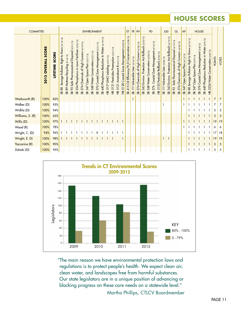## **HOUSE Scores**

| <b>COMMITTEE</b> |                                 |                          |                                                        |                                                   |                                                           |                                                              |                                                                 | <b>ENVIRONMENT</b>                     |                                             |                                                         |                                                  |                                     |                                 |                                 |                                                   | ET                                                                    | TR                                  | PH                                              |                                                                  | PD                                           |                                               |                                        | <b>JUD</b>                         |                                                         | GL                                               |                                                     | <b>AP</b>                              |                                                        |                                      | <b>HOUSE</b>                                  |                                                    |                                          |               |       |
|------------------|---------------------------------|--------------------------|--------------------------------------------------------|---------------------------------------------------|-----------------------------------------------------------|--------------------------------------------------------------|-----------------------------------------------------------------|----------------------------------------|---------------------------------------------|---------------------------------------------------------|--------------------------------------------------|-------------------------------------|---------------------------------|---------------------------------|---------------------------------------------------|-----------------------------------------------------------------------|-------------------------------------|-------------------------------------------------|------------------------------------------------------------------|----------------------------------------------|-----------------------------------------------|----------------------------------------|------------------------------------|---------------------------------------------------------|--------------------------------------------------|-----------------------------------------------------|----------------------------------------|--------------------------------------------------------|--------------------------------------|-----------------------------------------------|----------------------------------------------------|------------------------------------------|---------------|-------|
|                  | <b>SCORE</b><br>OVERALL<br>2012 | <b>SCORE</b><br>LIFETIME | Pollution Right to Know (3/14/12)<br>Sewage<br>88<br>æ | Recycling (3/14/12)<br>Mattress<br>$\infty$<br>SB | $\overline{2}$<br>Safe Pharmaceutical Disposal<br>92<br>æ | (3/23/12)<br>Fertilizer<br>in Lawn<br>Phosphorus<br>254<br>ஜ | Concern<br>High<br>$\overline{\sigma}$<br>Chemicals<br>27.<br>æ | Open Space Plan (3/21/12)<br>347<br>SB | Conservation (3/21/12)<br>Water<br>348<br>ஜ | Management <sub>13</sub><br>Zone<br>Coastal<br>376<br>ஜ | 440 Phosphorus Reduction In Water (4/19/12)<br>ஜ | GMO Labeling (3/21/12)<br>5117<br>E | 5121 Pesticides Preemption<br>E | 5121 Amendment B (3/21/12)<br>E | Zone Management (3/23/12)<br>Coastal<br>5128<br>E | (3/28/12)<br>Conservation<br>415 Oil Efficiency/H <sub>2</sub> 0<br>æ | 111 Vulnerable User (3/14/12)<br>SB | Chemicals of High Concern (3/26/12)<br>274<br>æ | 343 Environ. Protection Act Rollback (3/23/12)<br>$\mathfrak{B}$ | Conservation (4/20/12)<br>Water<br>348<br>SB | 16/12<br>चे<br>Management<br>Zone<br>376<br>æ | 5155 Pesticide Rollback (2/24/12)<br>£ | 111 Vulnerable User (3/28/12)<br>ஜ | Environ. Protection Act Rollback (4/19/12)<br>343<br>SB | Safe Pharmaceutical Disposal (4/19/12)<br>2<br>æ | Concern (4/26/12)<br>Chemicals of High<br>274<br>SB | Open Space Plan (4/13/12)<br>347<br>SB | Know (4/19/12)<br>Sewage Pollution Right to<br>88<br>æ | Open Space Plan (5/9/12)<br>347<br>æ | Coastal Zone Management (5/8/12)<br>376<br>SB | Phosphorus Reduction in Water (5/9/12)<br>440<br>ஜ | Conservation (5/8/12)<br>5334 Water<br>운 | <b>POINTS</b> | VOTES |
| Wadsworth (R)    | 100%                            | 82%                      |                                                        |                                                   |                                                           |                                                              |                                                                 |                                        |                                             |                                                         |                                                  |                                     |                                 |                                 |                                                   |                                                                       |                                     |                                                 |                                                                  |                                              |                                               |                                        |                                    |                                                         |                                                  |                                                     |                                        |                                                        | $\pm$ 1                              | $+1+1$                                        |                                                    | -1                                       | 7             | 7     |
| Walker (D)       | 100%                            | 95%                      |                                                        |                                                   |                                                           |                                                              |                                                                 |                                        |                                             |                                                         |                                                  |                                     |                                 |                                 |                                                   |                                                                       |                                     |                                                 |                                                                  |                                              |                                               |                                        |                                    |                                                         |                                                  |                                                     |                                        |                                                        |                                      |                                               | ÷                                                  | -1                                       | 7             | 7     |
| Widlitz (D)      | 100%                            | 94%                      |                                                        |                                                   |                                                           |                                                              |                                                                 |                                        |                                             |                                                         |                                                  |                                     |                                 |                                 |                                                   |                                                                       |                                     |                                                 |                                                                  |                                              |                                               |                                        |                                    |                                                         |                                                  |                                                     |                                        |                                                        |                                      |                                               | $\pm$ 1                                            | -91                                      | 5             | 5     |
| Williams, S. (R) | 100%                            | 65%                      |                                                        |                                                   |                                                           |                                                              |                                                                 |                                        |                                             |                                                         |                                                  |                                     |                                 |                                 |                                                   |                                                                       |                                     |                                                 |                                                                  |                                              |                                               |                                        |                                    |                                                         |                                                  |                                                     |                                        |                                                        | $\pm$ 1                              | -11                                           | $\pm$ 1                                            | -11                                      | 5             | 5     |
| Willis (D)       | 100%                            | 97%                      |                                                        |                                                   |                                                           |                                                              |                                                                 |                                        |                                             |                                                         |                                                  | ÷                                   |                                 |                                 |                                                   |                                                                       |                                     |                                                 |                                                                  |                                              |                                               |                                        |                                    |                                                         |                                                  |                                                     |                                        |                                                        |                                      | -11                                           | $\pm$ 1                                            | $\pm 1$                                  | 19            | 19    |
| Wood (R)         | 100%                            | 78%                      |                                                        |                                                   |                                                           |                                                              |                                                                 |                                        |                                             |                                                         |                                                  |                                     |                                 |                                 |                                                   |                                                                       |                                     |                                                 |                                                                  |                                              |                                               |                                        |                                    |                                                         |                                                  |                                                     |                                        |                                                        | -9                                   |                                               | $\pm$ 1                                            | -11                                      | 6             | 6     |
| Wright, C. (D)   | 94%                             | 96%                      |                                                        |                                                   |                                                           |                                                              |                                                                 |                                        |                                             | 0                                                       |                                                  |                                     |                                 |                                 |                                                   |                                                                       |                                     |                                                 |                                                                  |                                              |                                               |                                        |                                    |                                                         |                                                  |                                                     |                                        |                                                        |                                      |                                               |                                                    | -1                                       | 17            | 18    |
| Wright, E. D)    | 100%                            | 98%                      |                                                        |                                                   |                                                           |                                                              |                                                                 |                                        |                                             |                                                         |                                                  |                                     |                                 |                                 |                                                   |                                                                       |                                     |                                                 |                                                                  |                                              |                                               |                                        | $\mathbf{1}$                       | $\pm$ 1                                                 |                                                  |                                                     |                                        |                                                        | $\pm$ 1                              |                                               | $\pm$ 1                                            | -11                                      | 19            | 19    |
| Yaccarino (R)    | 100%                            | 90%                      |                                                        |                                                   |                                                           |                                                              |                                                                 |                                        |                                             |                                                         |                                                  |                                     |                                 |                                 |                                                   |                                                                       |                                     |                                                 |                                                                  |                                              |                                               |                                        |                                    |                                                         |                                                  |                                                     |                                        |                                                        | 3131                                 |                                               | $\pm 1$                                            | -1                                       | 5             | 5     |
| Zalaski (D)      | 100%                            | 95%                      |                                                        |                                                   |                                                           |                                                              |                                                                 |                                        |                                             |                                                         |                                                  |                                     |                                 |                                 |                                                   |                                                                       |                                     |                                                 |                                                                  |                                              |                                               |                                        |                                    |                                                         |                                                  |                                                     |                                        |                                                        |                                      | 3131                                          |                                                    |                                          | 5             | 5     |



"The main reason we have environmental protection laws and regulations is to protect people's health. We expect clean air, clean water, and landscapes free from harmful substances. Our state legislators are in a unique position of advancing or blocking progress on these core needs on a statewide level."

Martha Phillips, CTLCV Boardmember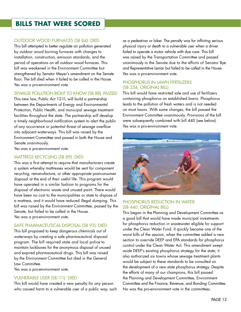## **BILLS THAT WERE SCORED**

#### Outdoor Wood Furnaces (SB 84): Died

This bill attempted to better regulate air pollution generated by outdoor wood burning furnaces with changes to installation, construction, emission standards, and the period of operations on all outdoor wood furnaces. This bill was weakened in the Environment Committee but strengthened by Senator Meyer's amendment on the Senate floor. The bill died when it failed to be called in the House. Yes was a pro-environment vote.

#### Sewage Pollution Right to Know (SB 88): Passed

This new law, Public Act 12-11, will build a partnership between the Departments of Energy and Environmental Protection, Public Health, and municipal sewage treatment facilities throughout the state. The partnership will develop a timely neighborhood notification system to alert the public of any occurrence or potential threat of sewage overflow into adjacent waterways. This bill was raised by the Environment Committee and passed in both the House and Senate unanimously.

Yes was a pro-environment vote.

#### Mattress Recycling (SB 89): Died

This was a first attempt to require that manufacturers create a system whereby mattresses would be sent for component recycling, remanufacture, or other appropriate post-consumer disposal at the end of their useful life. This program would have operated in a similar fashion to programs for the disposal of electronic waste and unused paint. There would have been no cost to the municipalities or state to dispose of a mattress, and it would have reduced illegal dumping. This bill was raised by the Environment Committee, passed by the Senate, but failed to be called in the House. Yes was a pro-environment vote.

#### Safe Pharmaceutical Disposal (SB 92): Died

This bill proposed to keep dangerous chemicals out of waterways by creating a safe pharmaceutical disposal program. The bill required state and local police to maintain lockboxes for the anonymous disposal of unused and expired pharmaceutical drugs. This bill was raised by the Environment Committee but died in the General Law Committee.

Yes was a pro-environment vote.

#### Vulnerable User (SB 111): Died

This bill would have created a new penalty for any person who caused harm to a vulnerable user of a public way, such as a pedestrian or biker. The penalty was for inflicting serious physical injury or death to a vulnerable user when a driver failed to operate a motor vehicle with due care. This bill was raised by the Transportation Committee and passed unanimously in the Senate due to the efforts of Senator Bye and Representative Lemar but failed to be called in the House. Yes was a pro-environment vote.

#### Phosphorus in Lawn Fertilizers (SB 254, original bill)

This bill would have restricted sale and use of fertilizers containing phosphorus on established lawns. Phosphorus leads to the pollution of fresh waters and is not needed on most lawns. With some changes, the bill passed the Environment Committee unanimously. Provisions of the bill were subsequently combined with bill 440 (see below). Yes was a pro-environment vote.



#### PHOSPHORUS REDUCTION IN WATER (SB 440, original bill)

This began in the Planning and Development Committee as a good bill that would have made municipal investments for phosphorus reduction in wastewater eligible for support under the Clean Water Fund. It quickly became one of the worst bills of the session, when the committee added a new section to override DEEP and EPA standards for phosphorus control under the Clean Water Act. This amendment swept aside DEEP's existing phosphorus strategy for the state; it also authorized six towns whose sewage treatment plants would be subject to these standards to be consulted on the development of a new state phosphorus strategy. Despite the efforts of many of our champions, this bill passed the Planning and Development Committee, Environment Committee and the Finance, Revenue, and Bonding Committee. No was the pro-environment vote in the committees.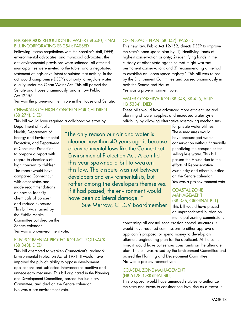#### PHOSPHORUS REDUCTION IN WATER (SB 440, FINAL bill incorporating SB 254): Passed

Following intense negotiations with the Speaker's staff, DEEP, environmental advocates, and municipal advocates, the anti-environmental provisions were softened, all affected municipalities were invited to the table, and a negotiated statement of legislative intent stipulated that nothing in the act would compromise DEEP's authority to regulate water quality under the Clean Water Act. This bill passed the Senate and House unanimously, and is now Public Act 12-155.

Yes was the pro-environment vote in the House and Senate.

#### Chemicals of High Concern for Children (SB 274): DIED

This bill would have required a collaborative effort by

Department of Public Health, Department of Energy and Environmental Protection, and Department of Consumer Protection to prepare a report with regard to chemicals of high concern to children. The report would have compared Connecticut with other states and made recommendations on how to identify chemicals of concern and reduce exposure. This bill was raised by the Public Health Committee but died on the Senate calendar.

"The only reason our air and water is cleaner now than 40 years ago is because of environmental laws like the Connecticut Environmental Protection Act. A conflict this year spawned a bill to weaken this law. The dispute was not between developers and environmentalists, but rather among the developers themselves. If it had passed, the environment would have been collateral damage. " Sue Merrow, CTLCV Boardmember

Open Space Plan (SB 347): Passed

This new law, Public Act 12-152, directs DEEP to improve the state's open space plan by: 1) identifying lands of highest conservation priority; 2) identifying lands in the custody of other state agencies that might warrant permanent conservation; and 3) recommending a method to establish an "open space registry." This bill was raised by the Environment Committee and passed unanimously in both the Senate and House.

Yes was a pro-environment vote.

#### Water Conservation (SB 348, SB 415, and HB 5334): Died

These bills would have advanced more efficient use and planning of water supplies and increased water system reliability by allowing alternative ratemaking mechanisms

> for private water utilities. These measures would have encouraged water conservation without financially penalizing the companies for selling less water. This bill passed the House due to the efforts of Representative Mushinsky and others but died on the Senate calendar. Yes was a pro-environment vote.

#### Coastal Zone **MANAGEMENT** (SB 376, original Bill)

This bill would have placed an unprecedented burden on municipal zoning commissions

Yes was a pro-environment vote.

#### Environmental Protection Act Rollback (SB 343): Died

This bill attempted to weaken Connecticut's landmark Environmental Protection Act of 1971. It would have impaired the public's ability to oppose development applications and subjected interveners to punitive and unnecessary measures. This bill originated in the Planning and Development Committee, passed the Judiciary Committee, and died on the Senate calendar. No was a pro-environment vote.

concerning all coastal zone erosion control structures. It would have required commissions to either approve an applicant's proposal or spend money to develop an alternate engineering plan for the applicant. At the same time, it would have put serious constraints on the alternate plan. This bill was raised by the Environment Committee and passed the Planning and Development Committee. No was a pro-environment vote.

#### Coastal Zone Management (HB 5128, original bill)

This proposal would have amended statutes to authorize the state and towns to consider sea level rise as a factor in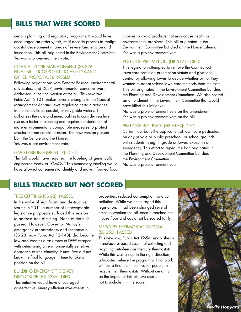## **BILLS THAT WERE SCORED**

certain planning and regulatory programs. It would have encouraged an orderly, fair, multi-decade process to realign coastal development in areas of severe land erosion and inundation. This bill originated in the Environment Committee. Yes was a pro-environment vote.

#### Coastal Zone Management (SB 376, final bill incorporating HB 5128 and other proposals): Passed

Following negotiations with Senator Fasano, environmental advocates, and DEEP, environmental concerns were addressed in the final version of the bill. This new law, Pubic Act 12-101, makes several changes to the Coastal Management Act and laws regulating certain activities in the state's tidal, coastal, or navigable waters. It authorizes the state and municipalities to consider sea level rise as a factor in planning and requires consideration of more environmentally compatible measures to protect structures from coastal erosion. The new version passed both the Senate and the House.

Yes was a pro-environment vote.

#### GMO Labeling (HB 5117): Died

This bill would have required the labeling of genetically engineered foods, or "GMOs." This mandatory labeling would have allowed consumers to identify and make informed food choices to avoid products that may cause health or environmental problems. This bill originated in the Environment Committee but died on the House calendar. Yes was a pro-environment vote.

#### PESTICIDE PREEMPTION (HB 5121): DIED

This legislation attempted to remove the Connecticut lawn-care pesticide preemption statute and give local control by allowing towns to decide whether or not they wanted to adopt stricter lawn care methods than the state. This bill originated in the Environment Committee but died in the Planning and Development Committee. We also scored an amendment in the Environment Committee that would have killed this initiative.

No was a pro-environment vote on the amendment. Yes was a pro-environment vote on the bill.

#### Pesticide Rollback (HB 5155): Died

Current law bans the application of lawn-care pesticides on any private or public preschool, or school grounds with students in eighth grade or lower, except in an emergency. This effort to repeal the ban originated in the Planning and Development Committee but died in the Environment Committee.

No was a pro-environment vote.

## **BILLS TRACKED BUT NOT SCORED**

#### Tree Cutting (SB 23): Passed

In the wake of significant and destructive storms in 2011 a number of unacceptable legislative proposals surfaced this session to address tree trimming. None of the bills passed. However, Governor Malloy's emergency preparedness and response bill (SB 23, now Pubic Act 12-148), did become law and creates a task force at DEEP charged with determining an environmentally sensitive approach to tree trimming issues. We did not know the final language in time to take a position on the bill.

#### Building Energy Efficiency Disclosure (HB 5385): Died

This initiative would have encouraged cost-effective, energy efficient investments in properties, reduced consumption, and cut pollution. While we encouraged this legislation, it had been changed several times to weaken the bill once it reached the House floor and could not be scored fairly.

#### Mercury Thermostat Disposal (SB 350): Passed

This new law, Public Act 12-54, establishes a manufacturer-based system of collecting and recycling out-of-service mercury thermostats. While this was a step in the right direction, advocates believe the program will not work without a financial incentive for people to recycle their thermostats. Without certainty on the impact of this bill, we chose not to include it in the score.

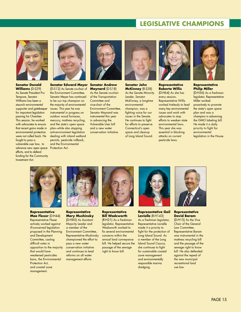## **LEGISLATIVE CHAMPIONS**



**Senator Donald Williams** (D-S29) As Senate President Pro Tempore, Senator Williams has been a staunch environmental supporter and gatekeeper for important legislation passing his Chamber. This session, he worked with advocates to ensure that recent gains made in environmental protection were not rolled back. He fought to pass a vulnerable user law, to advance new open space Protection Act. efforts, and to defend funding for the Community Investment Act.



#### **Senator Edward Meyer Senator Andrew**  (D-S12) As Senate co-chair of

the Environment Committee, Senator Meyer has continued to be our top champion on the majority of environmental issues. This year he was instrumental in progress on outdoor wood furnaces, mercury, mattress recycling, and the state's open space plan–while also stopping anti-environment legislation dealing with inland wetland permits, pesticide rollback, and the Environmental



**Maynard** (D-S18) As the Senate co-chair of the Transportation Committee and vice-chair of the Environment Committee, Senator Maynard was instrumental this year in advancing the Vulnerable User bill and a new water conservation initiative.



#### **Senator John McKinney** (R-S28)

As the Senate Minority Leader, Senator McKinney, a longtime environmental champion, was a fighting voice for our issues in the Senate. He continues to fight for efforts to preserve Connecticut's open space and cleanup of Long Island Sound.



#### **Representative Roberta Willis** (D-H64) As she has every session, Representative Willis worked tirelessly to lead many key environmental issues and work with advocates to stop efforts to weaken state environmental laws. This year she was essential in blocking attacks on current pesticide laws.



#### **Representative Philip Miller** (D-H36) As a freshman legislator, Representative Miller worked proactively to promote the state's open space plan and was a champion in advancing the GMO labeling bill. He made it a daily priority to fight for environmental legislation in the House.



**Representative Mae Flexer** (D-H44) Representative Flexer actively worked against ill-conceived legislation proposed in the Planning and Development Committee, casting difficult votes in opposition to the majority that would have weakened pesticides bans, the Environmental Protection Act, and coastal zone management.



#### **Representative Mary Mushinsky**

(D-H85) As Assistant Majority Leader and a member of the Environment Committee, Representative Mushinsky championed the effort to pass a new water conservation initiative and continues to lead reforms on all water management efforts.



#### **Representative Bill Wadsworth**

(R-H21) As a freshman legislator, Representative Wadsworth worked to fix several environmental concerns within the annual land conveyance bill. He helped secure the passage of the sewage right to know bill.



#### **Representative Gail Lavielle** (R-H143)

As a freshman legislator, Representative Lavielle made it a priority to fight for the protection of Long Island Sound. As a member of the Long Island Sound Caucus, she continues to fight for sustainable coastal zone management and environmentally responsible marina dredging.



**Representative David Baram** 

(D-H15) As the Vice Chair of the General Law Committee, Representative Baram was instrumental in the mattress recycling bill and the passage of the sewage right to know bill. He also defended against the repeal of the new municipal recreational land use law.